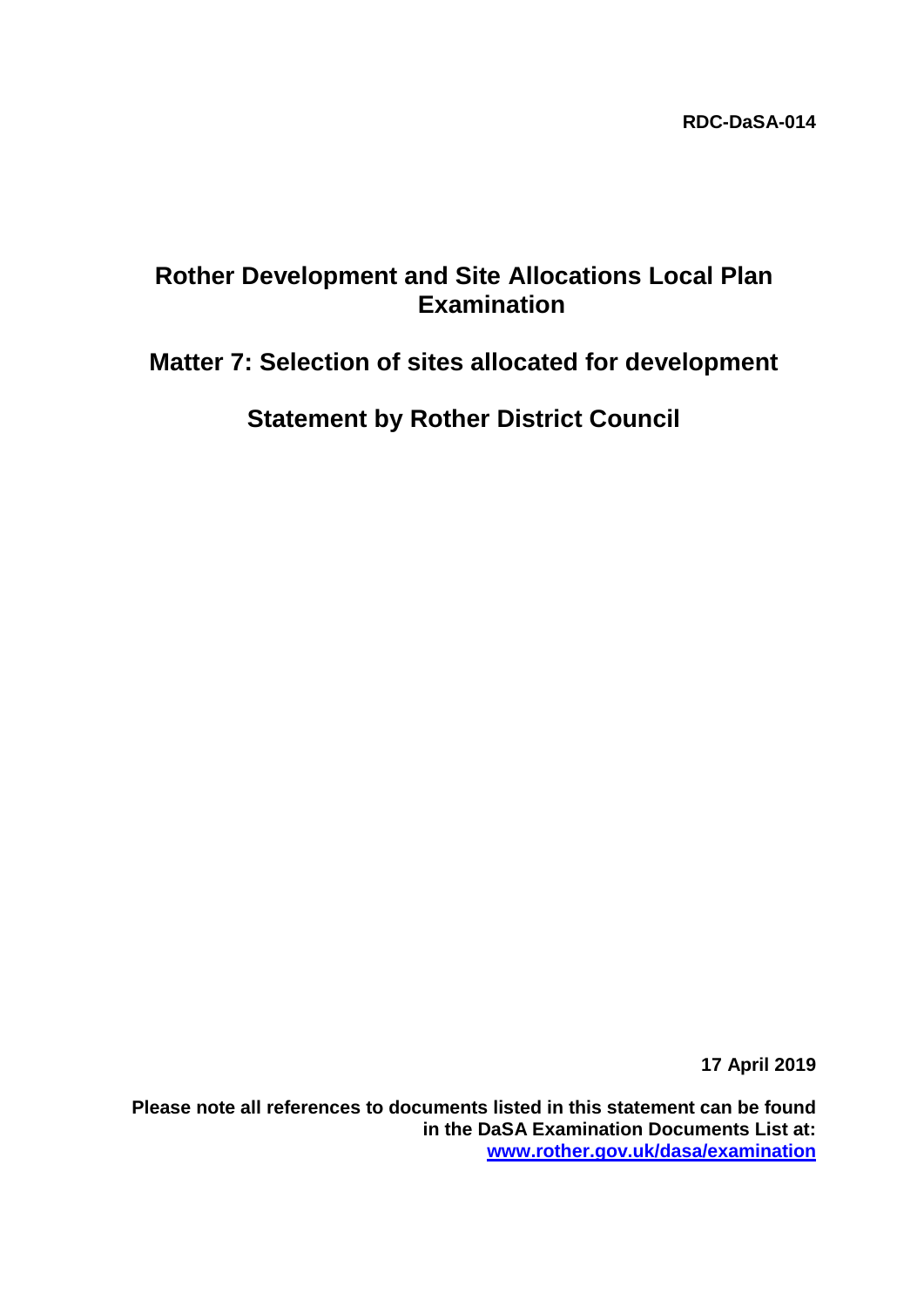## **Rother Development and Site Allocations Local Plan Examination**

# **Matter 7: Selection of sites allocated for development**

**Statement by Rother District Council**

**17 April 2019**

**Please note all references to documents listed in this statement can be found in the DaSA Examination Documents List at: [www.rother.gov.uk/dasa/examination](http://www.rother.gov.uk/dasa/examination)**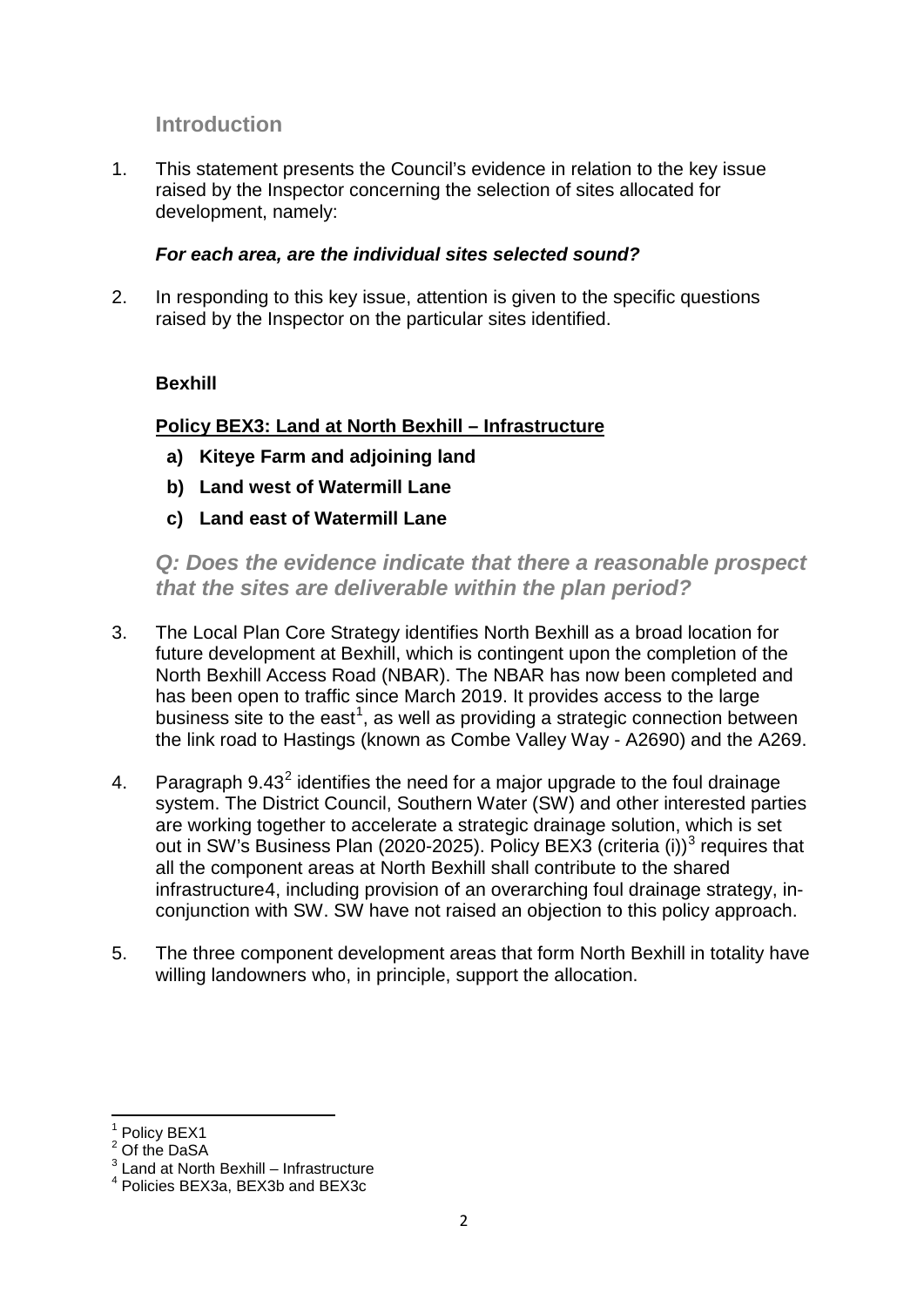## **Introduction**

1. This statement presents the Council's evidence in relation to the key issue raised by the Inspector concerning the selection of sites allocated for development, namely:

#### *For each area, are the individual sites selected sound?*

2. In responding to this key issue, attention is given to the specific questions raised by the Inspector on the particular sites identified.

#### **Bexhill**

#### **Policy BEX3: Land at North Bexhill – Infrastructure**

- **a) Kiteye Farm and adjoining land**
- **b) Land west of Watermill Lane**
- **c) Land east of Watermill Lane**

*Q: Does the evidence indicate that there a reasonable prospect that the sites are deliverable within the plan period?*

- 3. The Local Plan Core Strategy identifies North Bexhill as a broad location for future development at Bexhill, which is contingent upon the completion of the North Bexhill Access Road (NBAR). The NBAR has now been completed and has been open to traffic since March 2019. It provides access to the large business site to the east<sup>[1](#page-1-0)</sup>, as well as providing a strategic connection between the link road to Hastings (known as Combe Valley Way - A2690) and the A269.
- 4. Paragraph  $9.43<sup>2</sup>$  $9.43<sup>2</sup>$  $9.43<sup>2</sup>$  identifies the need for a major upgrade to the foul drainage system. The District Council, Southern Water (SW) and other interested parties are working together to accelerate a strategic drainage solution, which is set out in SW's Business Plan (2020-2025). Policy BEX[3](#page-1-2) (criteria (i))<sup>3</sup> requires that all the component areas at North Bexhill shall contribute to the shared infrastructure[4,](#page-1-3) including provision of an overarching foul drainage strategy, inconjunction with SW. SW have not raised an objection to this policy approach.
- 5. The three component development areas that form North Bexhill in totality have willing landowners who, in principle, support the allocation.

<sup>&</sup>lt;sup>1</sup> Policy BEX1

<span id="page-1-1"></span><span id="page-1-0"></span><sup>&</sup>lt;sup>2</sup> Of the DaSA

<span id="page-1-2"></span><sup>&</sup>lt;sup>3</sup> Land at North Bexhill – Infrastructure

<span id="page-1-3"></span><sup>4</sup> Policies BEX3a, BEX3b and BEX3c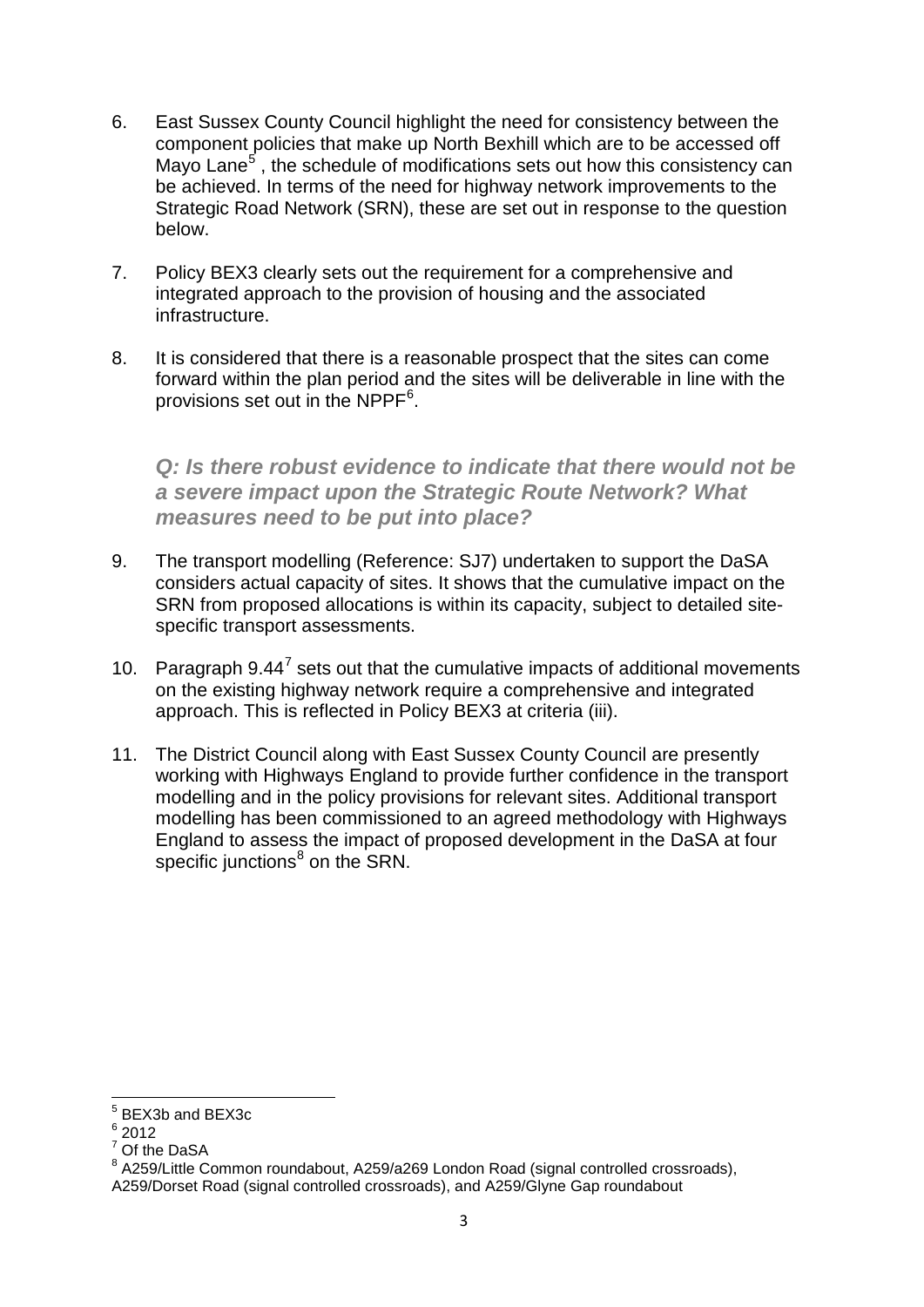- 6. East Sussex County Council highlight the need for consistency between the component policies that make up North Bexhill which are to be accessed off Mayo Lane<sup>[5](#page-2-0)</sup>, the schedule of modifications sets out how this consistency can be achieved. In terms of the need for highway network improvements to the Strategic Road Network (SRN), these are set out in response to the question below.
- 7. Policy BEX3 clearly sets out the requirement for a comprehensive and integrated approach to the provision of housing and the associated infrastructure.
- 8. It is considered that there is a reasonable prospect that the sites can come forward within the plan period and the sites will be deliverable in line with the provisions set out in the NPPF $^6$  $^6$ .

*Q: Is there robust evidence to indicate that there would not be a severe impact upon the Strategic Route Network? What measures need to be put into place?* 

- 9. The transport modelling (Reference: SJ7) undertaken to support the DaSA considers actual capacity of sites. It shows that the cumulative impact on the SRN from proposed allocations is within its capacity, subject to detailed sitespecific transport assessments.
- 10. Paragraph  $9.44^7$  $9.44^7$  sets out that the cumulative impacts of additional movements on the existing highway network require a comprehensive and integrated approach. This is reflected in Policy BEX3 at criteria (iii).
- 11. The District Council along with East Sussex County Council are presently working with Highways England to provide further confidence in the transport modelling and in the policy provisions for relevant sites. Additional transport modelling has been commissioned to an agreed methodology with Highways England to assess the impact of proposed development in the DaSA at four specific junctions $<sup>8</sup>$  $<sup>8</sup>$  $<sup>8</sup>$  on the SRN.</sup>

<span id="page-2-0"></span><sup>5</sup> BEX3b and BEX3c

<span id="page-2-1"></span> $6$  2012

<sup>7</sup> Of the DaSA

<span id="page-2-3"></span><span id="page-2-2"></span><sup>&</sup>lt;sup>8</sup> A259/Little Common roundabout, A259/a269 London Road (signal controlled crossroads), A259/Dorset Road (signal controlled crossroads), and A259/Glyne Gap roundabout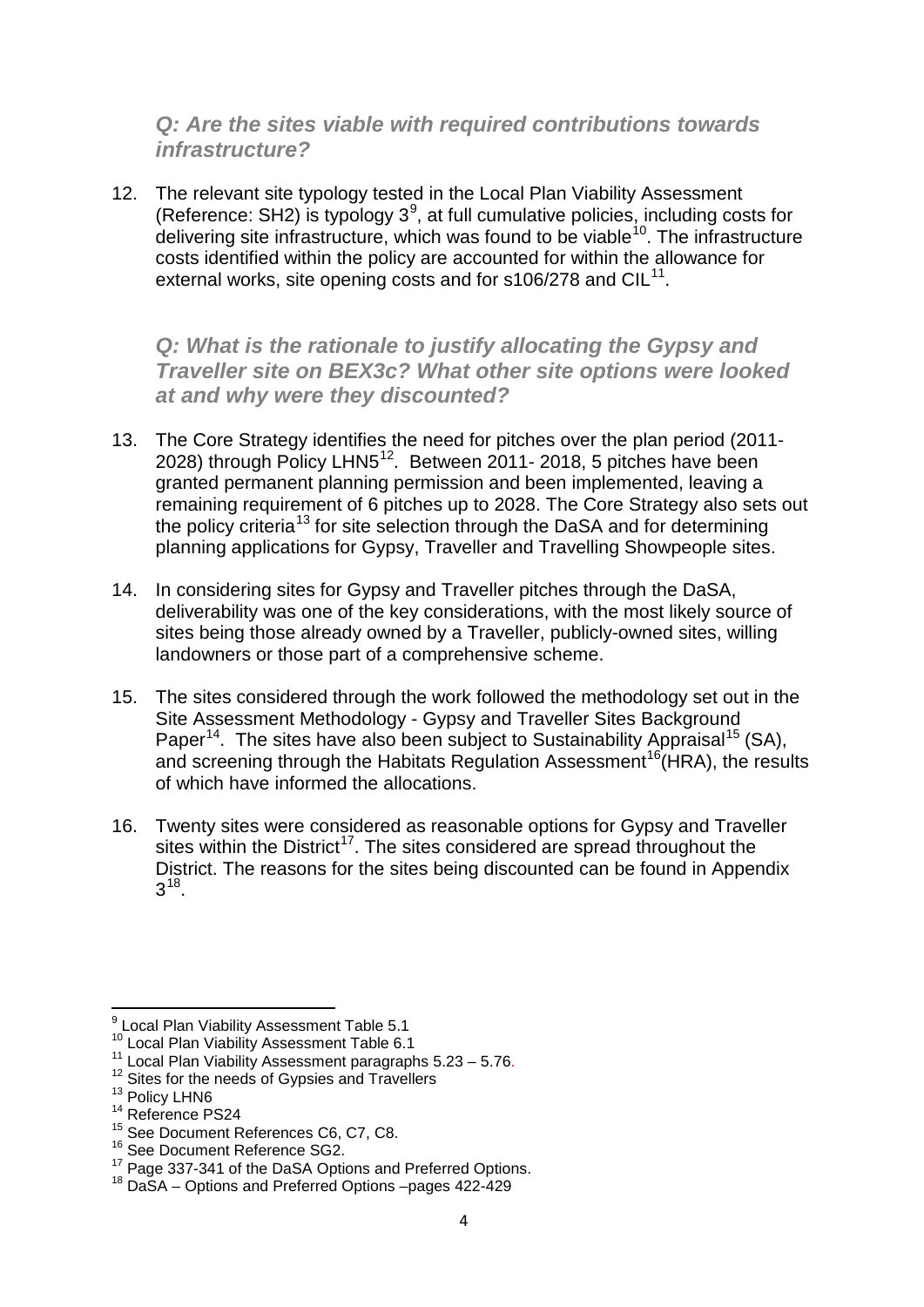## *Q: Are the sites viable with required contributions towards infrastructure?*

12. The relevant site typology tested in the Local Plan Viability Assessment (Reference: SH2) is typology  $3^9$  $3^9$ , at full cumulative policies, including costs for delivering site infrastructure, which was found to be viable<sup>10</sup>. The infrastructure costs identified within the policy are accounted for within the allowance for external works, site opening costs and for s106/278 and  $ClL<sup>11</sup>$ .

*Q: What is the rationale to justify allocating the Gypsy and Traveller site on BEX3c? What other site options were looked at and why were they discounted?* 

- 13. The Core Strategy identifies the need for pitches over the plan period (2011- 2028) through Policy LHN5<sup>12</sup>. Between 2011- 2018, 5 pitches have been granted permanent planning permission and been implemented, leaving a remaining requirement of 6 pitches up to 2028. The Core Strategy also sets out the policy criteria<sup>[13](#page-3-4)</sup> for site selection through the DaSA and for determining planning applications for Gypsy, Traveller and Travelling Showpeople sites.
- 14. In considering sites for Gypsy and Traveller pitches through the DaSA, deliverability was one of the key considerations, with the most likely source of sites being those already owned by a Traveller, publicly-owned sites, willing landowners or those part of a comprehensive scheme.
- 15. The sites considered through the work followed the methodology set out in the Site Assessment Methodology - Gypsy and Traveller Sites Background Paper<sup>14</sup>. The sites have also been subject to Sustainability Appraisal<sup>[15](#page-3-6)</sup> (SA), and screening through the Habitats Regulation Assessment<sup>16</sup> (HRA), the results of which have informed the allocations.
- 16. Twenty sites were considered as reasonable options for Gypsy and Traveller sites within the District<sup>[17](#page-3-8)</sup>. The sites considered are spread throughout the District. The reasons for the sites being discounted can be found in Appendix 3[18](#page-3-9).

<span id="page-3-0"></span> $^{9}$  Local Plan Viability Assessment Table 5.1<br> $^{10}$  Local Plan Viability Assessment Table 6.1

<span id="page-3-3"></span><span id="page-3-2"></span><span id="page-3-1"></span><sup>&</sup>lt;sup>11</sup> Local Plan Viability Assessment paragraphs 5.23 – 5.76.<br><sup>12</sup> Sites for the needs of Gypsies and Travellers <sup>13</sup> Policy LHN6 <sup>14</sup> Reference PS24

<span id="page-3-4"></span>

<span id="page-3-6"></span><span id="page-3-5"></span><sup>&</sup>lt;sup>15</sup> See Document References C6, C7, C8.

<sup>&</sup>lt;sup>16</sup> See Document Reference SG2.

<span id="page-3-8"></span><span id="page-3-7"></span><sup>&</sup>lt;sup>17</sup> Page 337-341 of the DaSA Options and Preferred Options.<br><sup>18</sup> DaSA – Options and Preferred Options –pages 422-429

<span id="page-3-9"></span>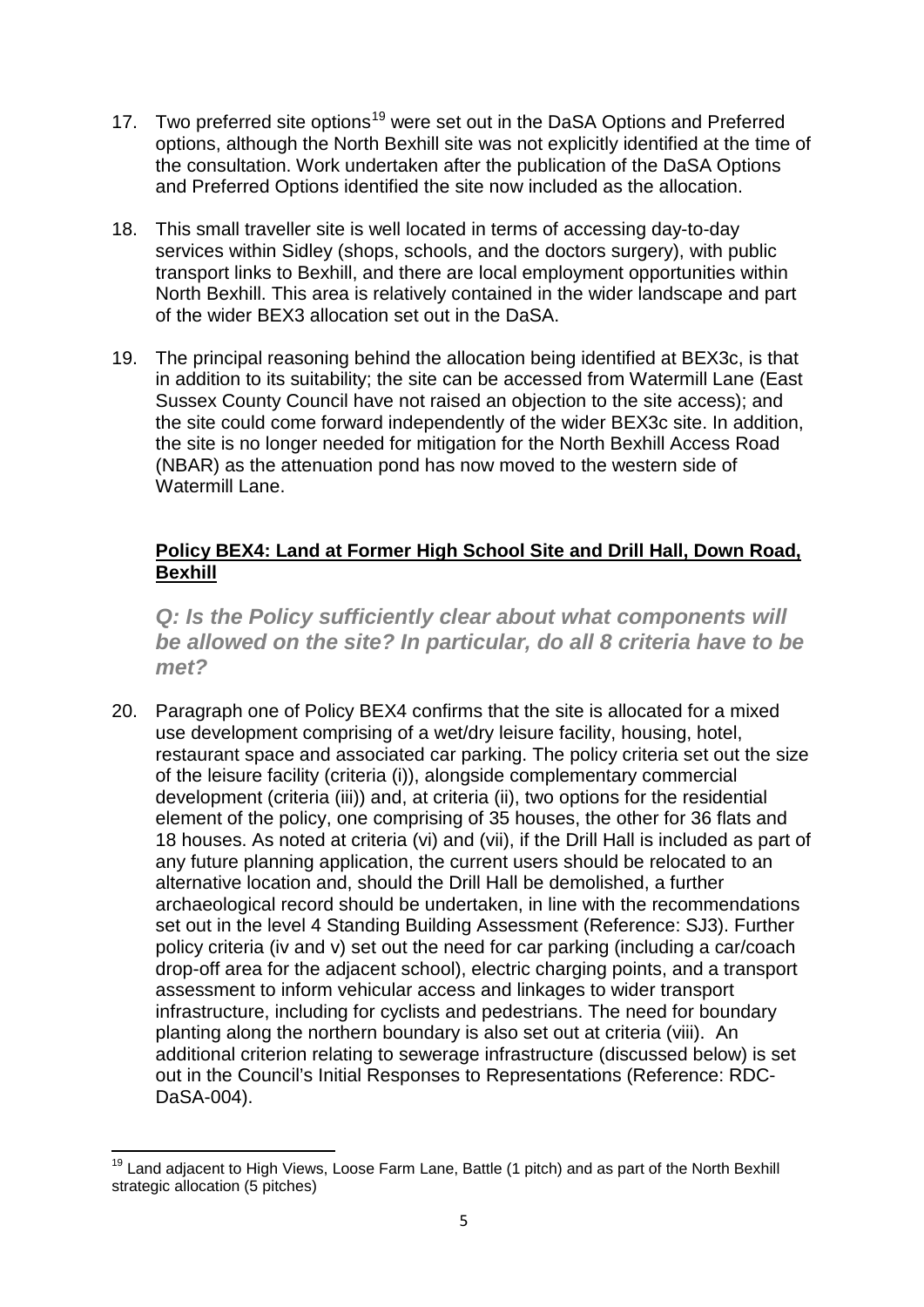- 17. Two preferred site options<sup>[19](#page-4-0)</sup> were set out in the DaSA Options and Preferred options, although the North Bexhill site was not explicitly identified at the time of the consultation. Work undertaken after the publication of the DaSA Options and Preferred Options identified the site now included as the allocation.
- 18. This small traveller site is well located in terms of accessing day-to-day services within Sidley (shops, schools, and the doctors surgery), with public transport links to Bexhill, and there are local employment opportunities within North Bexhill. This area is relatively contained in the wider landscape and part of the wider BEX3 allocation set out in the DaSA.
- 19. The principal reasoning behind the allocation being identified at BEX3c, is that in addition to its suitability; the site can be accessed from Watermill Lane (East Sussex County Council have not raised an objection to the site access); and the site could come forward independently of the wider BEX3c site. In addition, the site is no longer needed for mitigation for the North Bexhill Access Road (NBAR) as the attenuation pond has now moved to the western side of Watermill Lane.

#### **Policy BEX4: Land at Former High School Site and Drill Hall, Down Road, Bexhill**

*Q: Is the Policy sufficiently clear about what components will be allowed on the site? In particular, do all 8 criteria have to be met?* 

20. Paragraph one of Policy BEX4 confirms that the site is allocated for a mixed use development comprising of a wet/dry leisure facility, housing, hotel, restaurant space and associated car parking. The policy criteria set out the size of the leisure facility (criteria (i)), alongside complementary commercial development (criteria (iii)) and, at criteria (ii), two options for the residential element of the policy, one comprising of 35 houses, the other for 36 flats and 18 houses. As noted at criteria (vi) and (vii), if the Drill Hall is included as part of any future planning application, the current users should be relocated to an alternative location and, should the Drill Hall be demolished, a further archaeological record should be undertaken, in line with the recommendations set out in the level 4 Standing Building Assessment (Reference: SJ3). Further policy criteria (iv and v) set out the need for car parking (including a car/coach drop-off area for the adjacent school), electric charging points, and a transport assessment to inform vehicular access and linkages to wider transport infrastructure, including for cyclists and pedestrians. The need for boundary planting along the northern boundary is also set out at criteria (viii). An additional criterion relating to sewerage infrastructure (discussed below) is set out in the Council's Initial Responses to Representations (Reference: RDC-DaSA-004).

<span id="page-4-0"></span><sup>&</sup>lt;sup>19</sup> Land adjacent to High Views, Loose Farm Lane, Battle (1 pitch) and as part of the North Bexhill strategic allocation (5 pitches)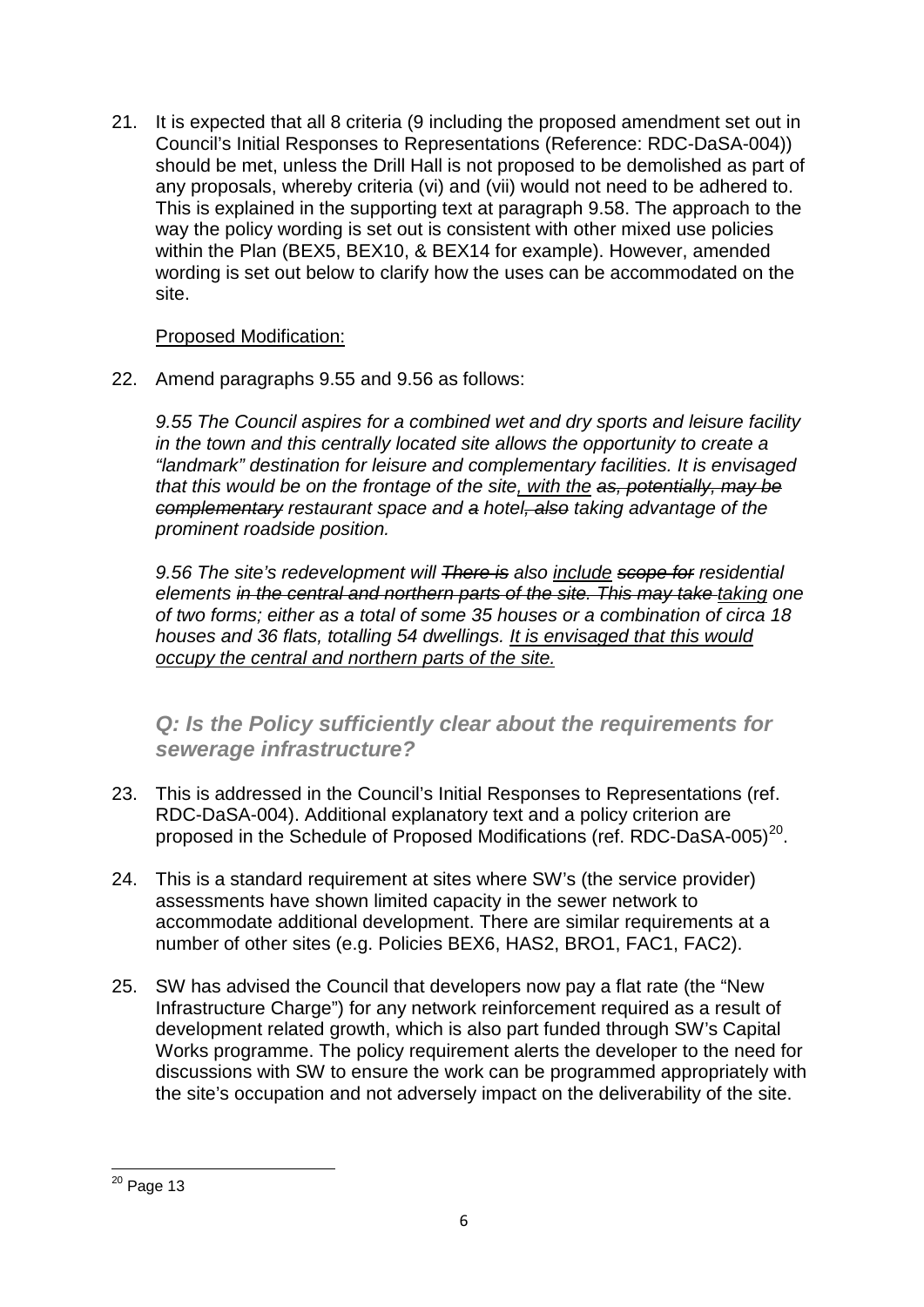21. It is expected that all 8 criteria (9 including the proposed amendment set out in Council's Initial Responses to Representations (Reference: RDC-DaSA-004)) should be met, unless the Drill Hall is not proposed to be demolished as part of any proposals, whereby criteria (vi) and (vii) would not need to be adhered to. This is explained in the supporting text at paragraph 9.58. The approach to the way the policy wording is set out is consistent with other mixed use policies within the Plan (BEX5, BEX10, & BEX14 for example). However, amended wording is set out below to clarify how the uses can be accommodated on the site.

#### Proposed Modification:

22. Amend paragraphs 9.55 and 9.56 as follows:

*9.55 The Council aspires for a combined wet and dry sports and leisure facility in the town and this centrally located site allows the opportunity to create a "landmark" destination for leisure and complementary facilities. It is envisaged that this would be on the frontage of the site, with the as, potentially, may be complementary restaurant space and a hotel, also taking advantage of the prominent roadside position.*

*9.56 The site's redevelopment will There is also include scope for residential elements in the central and northern parts of the site. This may take taking one of two forms; either as a total of some 35 houses or a combination of circa 18 houses and 36 flats, totalling 54 dwellings. It is envisaged that this would occupy the central and northern parts of the site.*

## *Q: Is the Policy sufficiently clear about the requirements for sewerage infrastructure?*

- 23. This is addressed in the Council's Initial Responses to Representations (ref. RDC-DaSA-004). Additional explanatory text and a policy criterion are proposed in the Schedule of Proposed Modifications (ref. RDC-DaSA-005)<sup>20</sup>.
- 24. This is a standard requirement at sites where SW's (the service provider) assessments have shown limited capacity in the sewer network to accommodate additional development. There are similar requirements at a number of other sites (e.g. Policies BEX6, HAS2, BRO1, FAC1, FAC2).
- 25. SW has advised the Council that developers now pay a flat rate (the "New Infrastructure Charge") for any network reinforcement required as a result of development related growth, which is also part funded through SW's Capital Works programme. The policy requirement alerts the developer to the need for discussions with SW to ensure the work can be programmed appropriately with the site's occupation and not adversely impact on the deliverability of the site.

<span id="page-5-0"></span> $20$  Page 13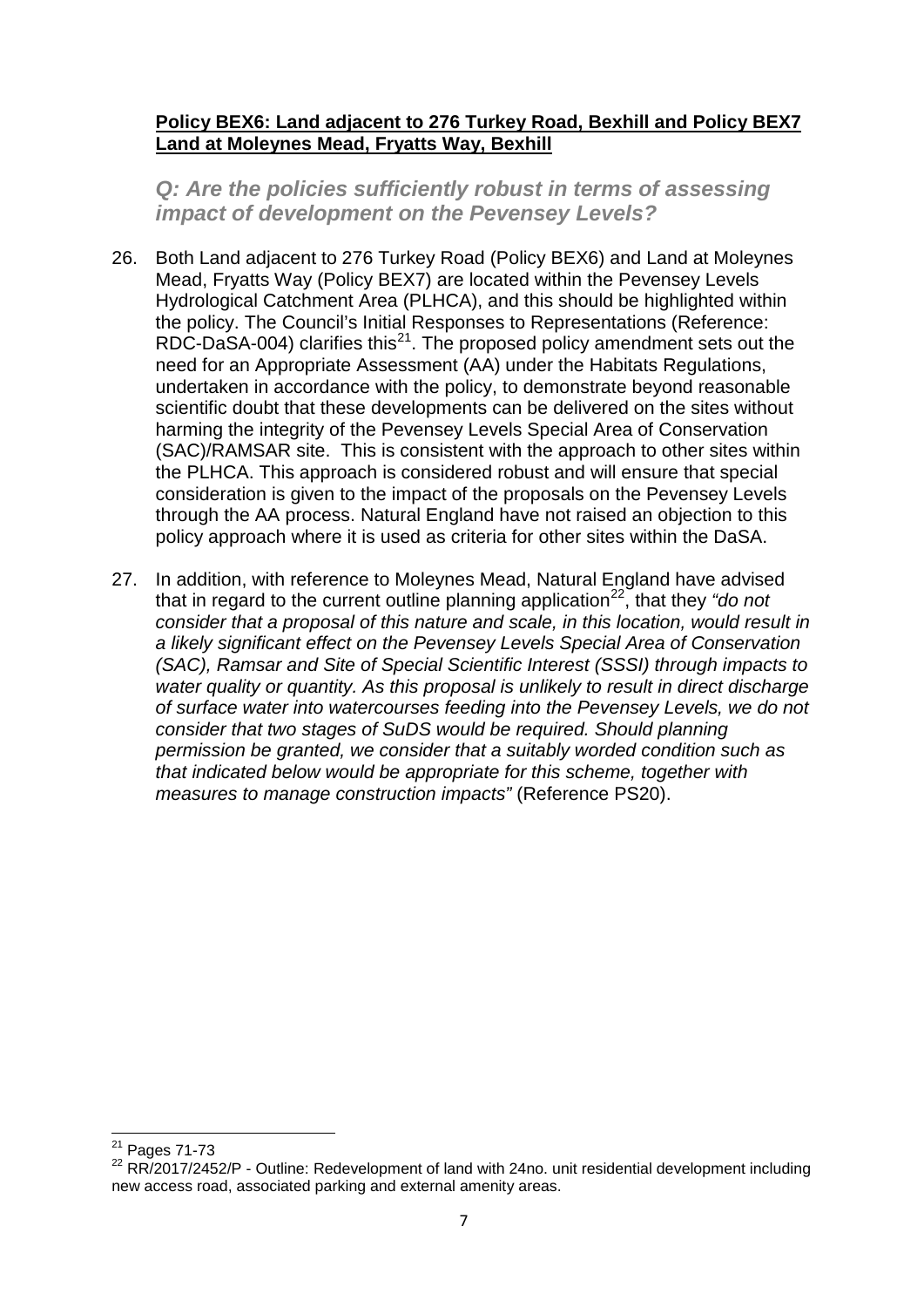#### **Policy BEX6: Land adjacent to 276 Turkey Road, Bexhill and Policy BEX7 Land at Moleynes Mead, Fryatts Way, Bexhill**

*Q: Are the policies sufficiently robust in terms of assessing impact of development on the Pevensey Levels?* 

- 26. Both Land adjacent to 276 Turkey Road (Policy BEX6) and Land at Moleynes Mead, Fryatts Way (Policy BEX7) are located within the Pevensey Levels Hydrological Catchment Area (PLHCA), and this should be highlighted within the policy. The Council's Initial Responses to Representations (Reference: RDC-DaSA-004) clarifies this<sup>[21](#page-6-0)</sup>. The proposed policy amendment sets out the need for an Appropriate Assessment (AA) under the Habitats Regulations, undertaken in accordance with the policy, to demonstrate beyond reasonable scientific doubt that these developments can be delivered on the sites without harming the integrity of the Pevensey Levels Special Area of Conservation (SAC)/RAMSAR site. This is consistent with the approach to other sites within the PLHCA. This approach is considered robust and will ensure that special consideration is given to the impact of the proposals on the Pevensey Levels through the AA process. Natural England have not raised an objection to this policy approach where it is used as criteria for other sites within the DaSA.
- 27. In addition, with reference to Moleynes Mead, Natural England have advised that in regard to the current outline planning application<sup>22</sup>, that they "do not *consider that a proposal of this nature and scale, in this location, would result in a likely significant effect on the Pevensey Levels Special Area of Conservation (SAC), Ramsar and Site of Special Scientific Interest (SSSI) through impacts to water quality or quantity. As this proposal is unlikely to result in direct discharge of surface water into watercourses feeding into the Pevensey Levels, we do not consider that two stages of SuDS would be required. Should planning permission be granted, we consider that a suitably worded condition such as that indicated below would be appropriate for this scheme, together with measures to manage construction impacts"* (Reference PS20).

<span id="page-6-0"></span><sup>21</sup> Pages 71-73

<span id="page-6-1"></span><sup>&</sup>lt;sup>22</sup> RR/2017/2452/P - Outline: Redevelopment of land with 24no. unit residential development including new access road, associated parking and external amenity areas.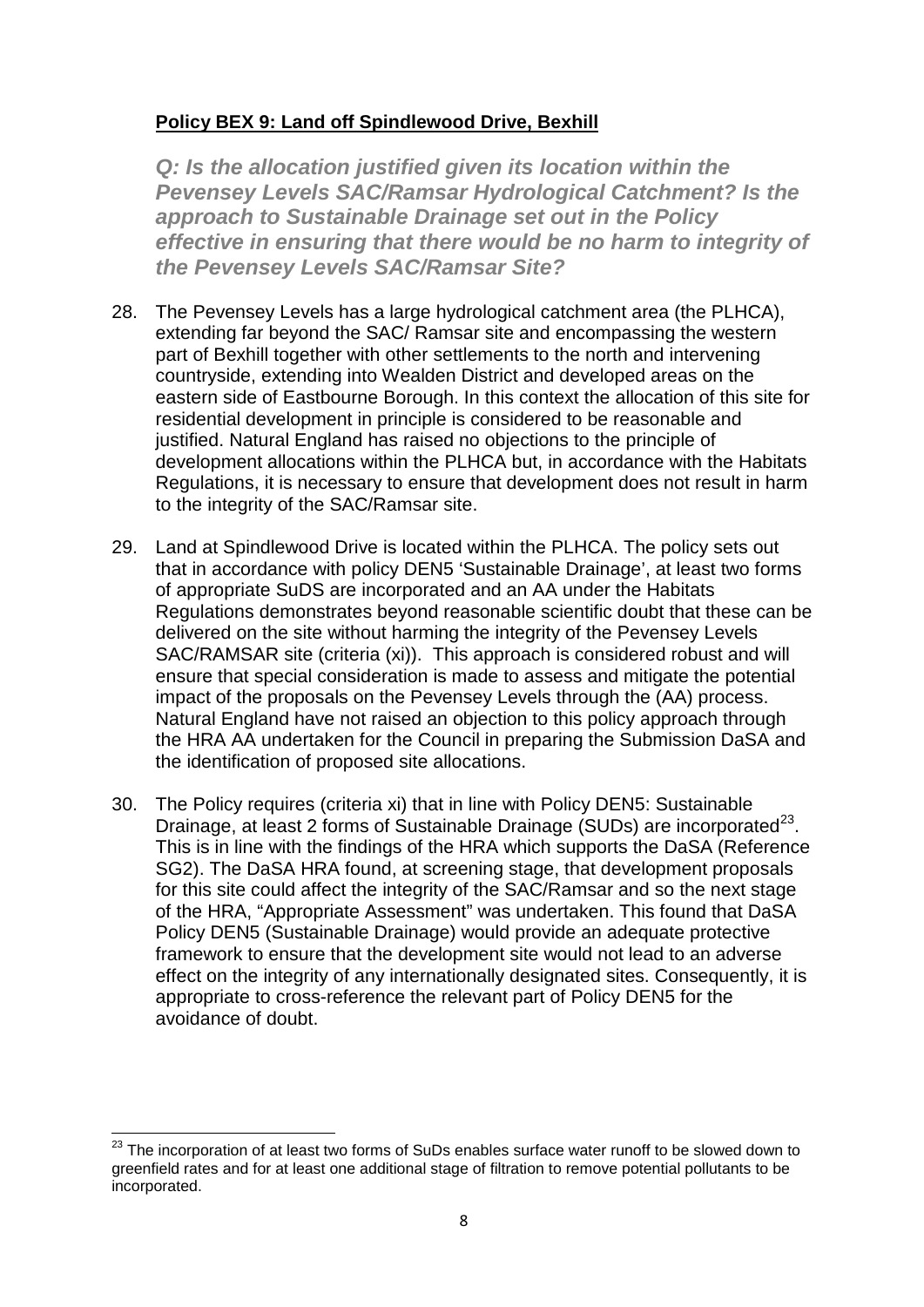## **Policy BEX 9: Land off Spindlewood Drive, Bexhill**

*Q: Is the allocation justified given its location within the Pevensey Levels SAC/Ramsar Hydrological Catchment? Is the approach to Sustainable Drainage set out in the Policy effective in ensuring that there would be no harm to integrity of the Pevensey Levels SAC/Ramsar Site?* 

- 28. The Pevensey Levels has a large hydrological catchment area (the PLHCA), extending far beyond the SAC/ Ramsar site and encompassing the western part of Bexhill together with other settlements to the north and intervening countryside, extending into Wealden District and developed areas on the eastern side of Eastbourne Borough. In this context the allocation of this site for residential development in principle is considered to be reasonable and justified. Natural England has raised no objections to the principle of development allocations within the PLHCA but, in accordance with the Habitats Regulations, it is necessary to ensure that development does not result in harm to the integrity of the SAC/Ramsar site.
- 29. Land at Spindlewood Drive is located within the PLHCA. The policy sets out that in accordance with policy DEN5 'Sustainable Drainage', at least two forms of appropriate SuDS are incorporated and an AA under the Habitats Regulations demonstrates beyond reasonable scientific doubt that these can be delivered on the site without harming the integrity of the Pevensey Levels SAC/RAMSAR site (criteria (xi)). This approach is considered robust and will ensure that special consideration is made to assess and mitigate the potential impact of the proposals on the Pevensey Levels through the (AA) process. Natural England have not raised an objection to this policy approach through the HRA AA undertaken for the Council in preparing the Submission DaSA and the identification of proposed site allocations.
- 30. The Policy requires (criteria xi) that in line with Policy DEN5: Sustainable Drainage, at least 2 forms of Sustainable Drainage (SUDs) are incorporated<sup>23</sup>. This is in line with the findings of the HRA which supports the DaSA (Reference SG2). The DaSA HRA found, at screening stage, that development proposals for this site could affect the integrity of the SAC/Ramsar and so the next stage of the HRA, "Appropriate Assessment" was undertaken. This found that DaSA Policy DEN5 (Sustainable Drainage) would provide an adequate protective framework to ensure that the development site would not lead to an adverse effect on the integrity of any internationally designated sites. Consequently, it is appropriate to cross-reference the relevant part of Policy DEN5 for the avoidance of doubt.

<span id="page-7-0"></span><sup>&</sup>lt;sup>23</sup> The incorporation of at least two forms of SuDs enables surface water runoff to be slowed down to greenfield rates and for at least one additional stage of filtration to remove potential pollutants to be incorporated.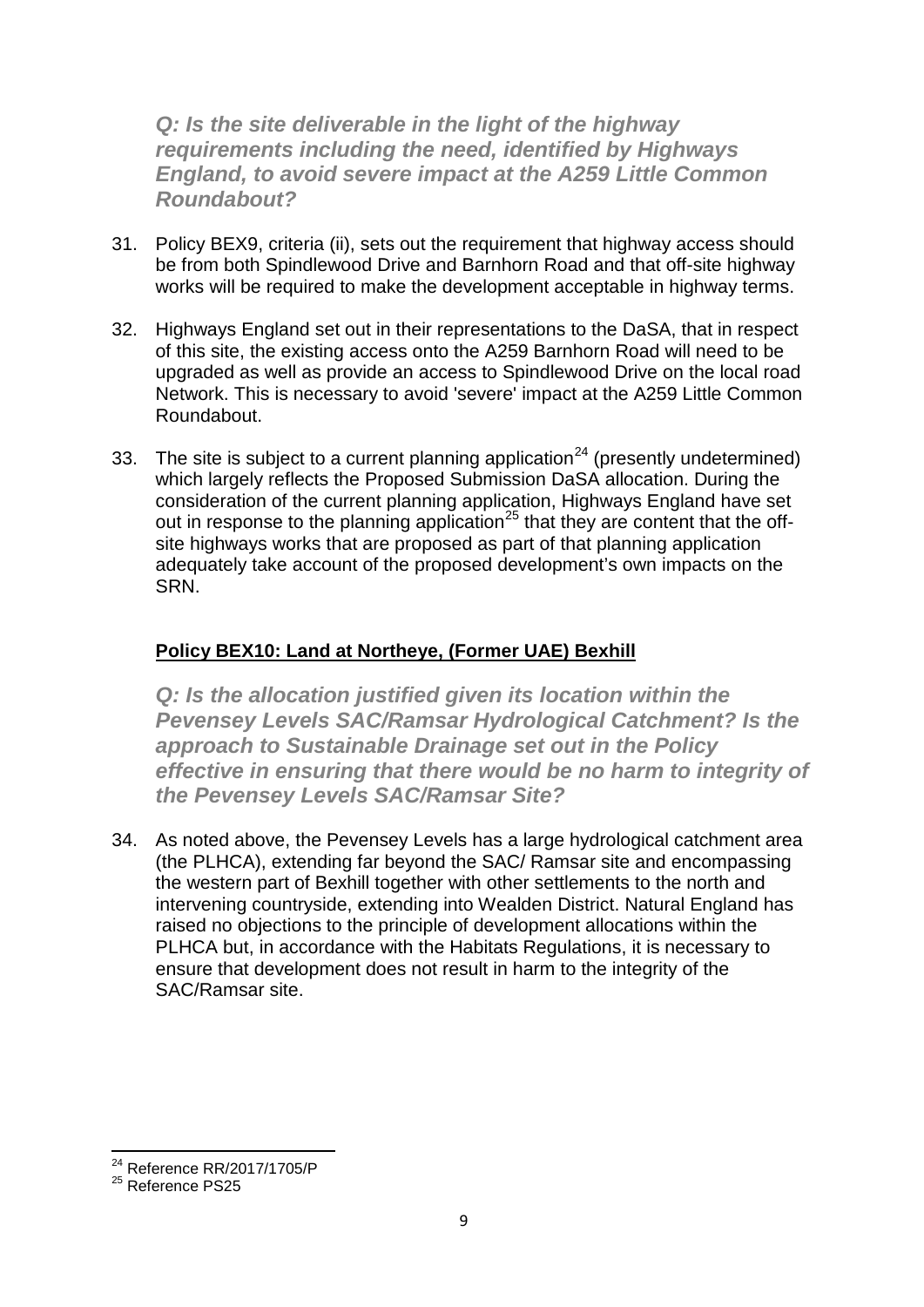*Q: Is the site deliverable in the light of the highway requirements including the need, identified by Highways England, to avoid severe impact at the A259 Little Common Roundabout?* 

- 31. Policy BEX9, criteria (ii), sets out the requirement that highway access should be from both Spindlewood Drive and Barnhorn Road and that off-site highway works will be required to make the development acceptable in highway terms.
- 32. Highways England set out in their representations to the DaSA, that in respect of this site, the existing access onto the A259 Barnhorn Road will need to be upgraded as well as provide an access to Spindlewood Drive on the local road Network. This is necessary to avoid 'severe' impact at the A259 Little Common Roundabout.
- 33. The site is subject to a current planning application<sup>[24](#page-8-0)</sup> (presently undetermined) which largely reflects the Proposed Submission DaSA allocation. During the consideration of the current planning application, Highways England have set out in response to the planning application<sup>[25](#page-8-1)</sup> that they are content that the offsite highways works that are proposed as part of that planning application adequately take account of the proposed development's own impacts on the SRN.

## **Policy BEX10: Land at Northeye, (Former UAE) Bexhill**

**Q: Is the allocation justified given its location within the** *Pevensey Levels SAC/Ramsar Hydrological Catchment? Is the approach to Sustainable Drainage set out in the Policy effective in ensuring that there would be no harm to integrity of the Pevensey Levels SAC/Ramsar Site?*

34. As noted above, the Pevensey Levels has a large hydrological catchment area (the PLHCA), extending far beyond the SAC/ Ramsar site and encompassing the western part of Bexhill together with other settlements to the north and intervening countryside, extending into Wealden District. Natural England has raised no objections to the principle of development allocations within the PLHCA but, in accordance with the Habitats Regulations, it is necessary to ensure that development does not result in harm to the integrity of the SAC/Ramsar site.

<span id="page-8-0"></span><sup>24</sup> Reference RR/2017/1705/P

<span id="page-8-1"></span><sup>&</sup>lt;sup>25</sup> Reference PS25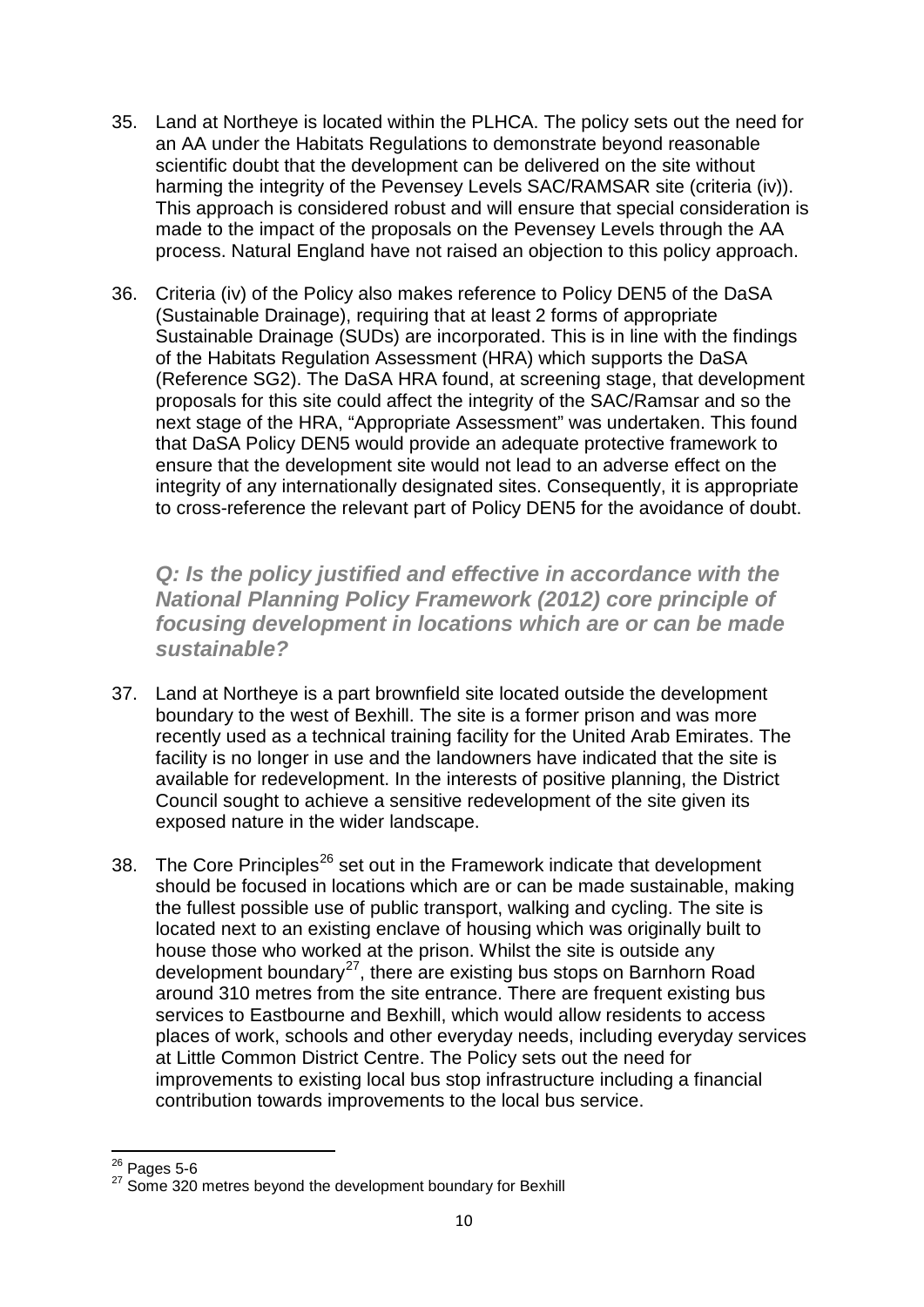- 35. Land at Northeye is located within the PLHCA. The policy sets out the need for an AA under the Habitats Regulations to demonstrate beyond reasonable scientific doubt that the development can be delivered on the site without harming the integrity of the Pevensey Levels SAC/RAMSAR site (criteria (iv)). This approach is considered robust and will ensure that special consideration is made to the impact of the proposals on the Pevensey Levels through the AA process. Natural England have not raised an objection to this policy approach.
- 36. Criteria (iv) of the Policy also makes reference to Policy DEN5 of the DaSA (Sustainable Drainage), requiring that at least 2 forms of appropriate Sustainable Drainage (SUDs) are incorporated. This is in line with the findings of the Habitats Regulation Assessment (HRA) which supports the DaSA (Reference SG2). The DaSA HRA found, at screening stage, that development proposals for this site could affect the integrity of the SAC/Ramsar and so the next stage of the HRA, "Appropriate Assessment" was undertaken. This found that DaSA Policy DEN5 would provide an adequate protective framework to ensure that the development site would not lead to an adverse effect on the integrity of any internationally designated sites. Consequently, it is appropriate to cross-reference the relevant part of Policy DEN5 for the avoidance of doubt.

*Q: Is the policy justified and effective in accordance with the National Planning Policy Framework (2012) core principle of focusing development in locations which are or can be made sustainable?*

- 37. Land at Northeye is a part brownfield site located outside the development boundary to the west of Bexhill. The site is a former prison and was more recently used as a technical training facility for the United Arab Emirates. The facility is no longer in use and the landowners have indicated that the site is available for redevelopment. In the interests of positive planning, the District Council sought to achieve a sensitive redevelopment of the site given its exposed nature in the wider landscape.
- 38. The Core Principles<sup>[26](#page-9-0)</sup> set out in the Framework indicate that development should be focused in locations which are or can be made sustainable, making the fullest possible use of public transport, walking and cycling. The site is located next to an existing enclave of housing which was originally built to house those who worked at the prison. Whilst the site is outside any development boundary<sup>27</sup>, there are existing bus stops on Barnhorn Road around 310 metres from the site entrance. There are frequent existing bus services to Eastbourne and Bexhill, which would allow residents to access places of work, schools and other everyday needs, including everyday services at Little Common District Centre. The Policy sets out the need for improvements to existing local bus stop infrastructure including a financial contribution towards improvements to the local bus service.

<span id="page-9-0"></span> $26$  Pages 5-6

<span id="page-9-1"></span><sup>&</sup>lt;sup>27</sup> Some 320 metres beyond the development boundary for Bexhill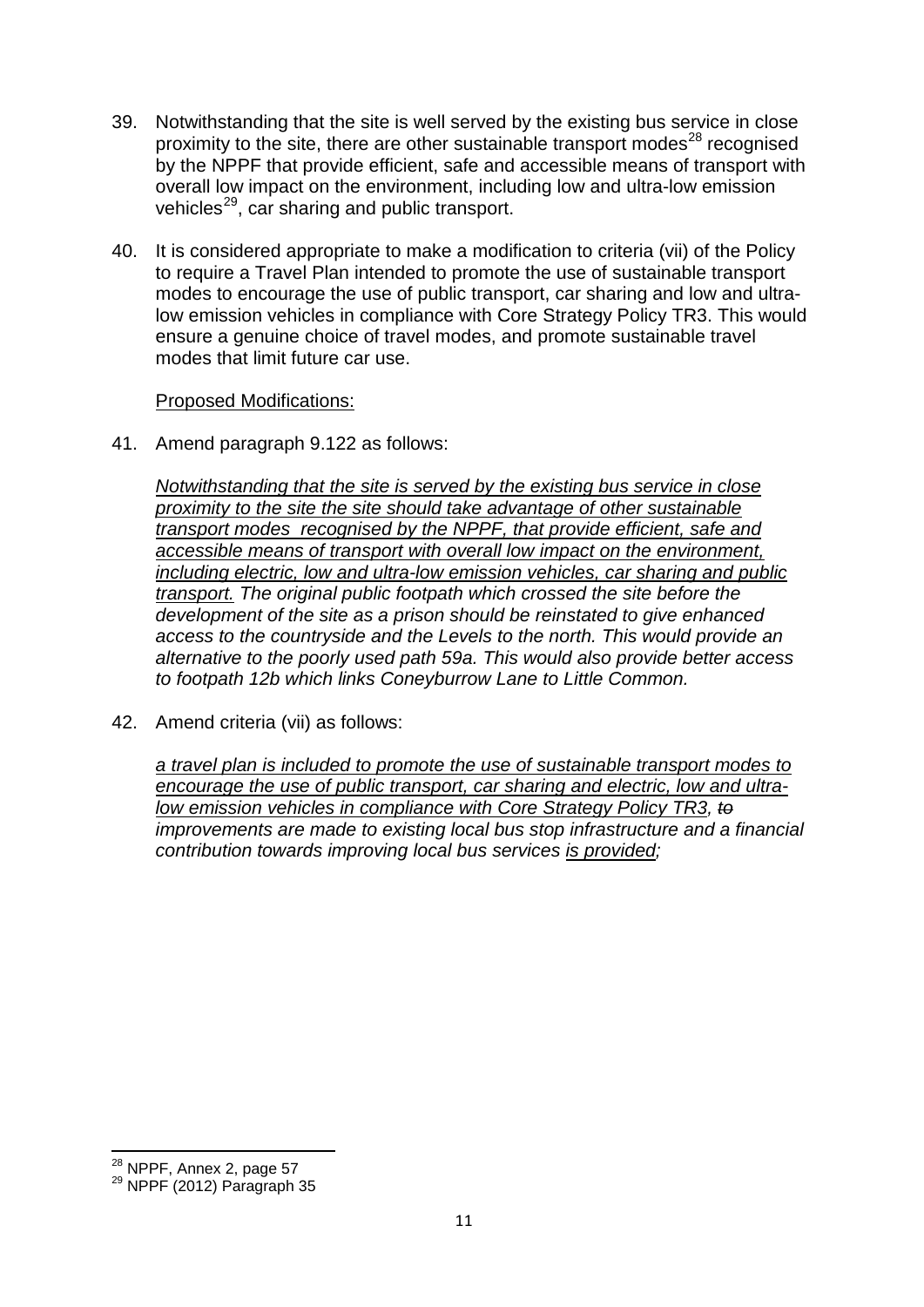- 39. Notwithstanding that the site is well served by the existing bus service in close proximity to the site, there are other sustainable transport modes $^{28}$  $^{28}$  $^{28}$  recognised by the NPPF that provide efficient, safe and accessible means of transport with overall low impact on the environment, including low and ultra-low emission vehicles<sup>[29](#page-10-1)</sup>, car sharing and public transport.
- 40. It is considered appropriate to make a modification to criteria (vii) of the Policy to require a Travel Plan intended to promote the use of sustainable transport modes to encourage the use of public transport, car sharing and low and ultralow emission vehicles in compliance with Core Strategy Policy TR3. This would ensure a genuine choice of travel modes, and promote sustainable travel modes that limit future car use.

#### Proposed Modifications:

41. Amend paragraph 9.122 as follows:

*Notwithstanding that the site is served by the existing bus service in close proximity to the site the site should take advantage of other sustainable transport modes recognised by the NPPF, that provide efficient, safe and accessible means of transport with overall low impact on the environment, including electric, low and ultra-low emission vehicles, car sharing and public transport. The original public footpath which crossed the site before the development of the site as a prison should be reinstated to give enhanced access to the countryside and the Levels to the north. This would provide an alternative to the poorly used path 59a. This would also provide better access to footpath 12b which links Coneyburrow Lane to Little Common.*

42. Amend criteria (vii) as follows:

*a travel plan is included to promote the use of sustainable transport modes to encourage the use of public transport, car sharing and electric, low and ultralow emission vehicles in compliance with Core Strategy Policy TR3, to improvements are made to existing local bus stop infrastructure and a financial contribution towards improving local bus services is provided;*

<span id="page-10-1"></span><span id="page-10-0"></span> $^{28}$  NPPF, Annex 2, page 57<br> $^{29}$  NPPF (2012) Paragraph 35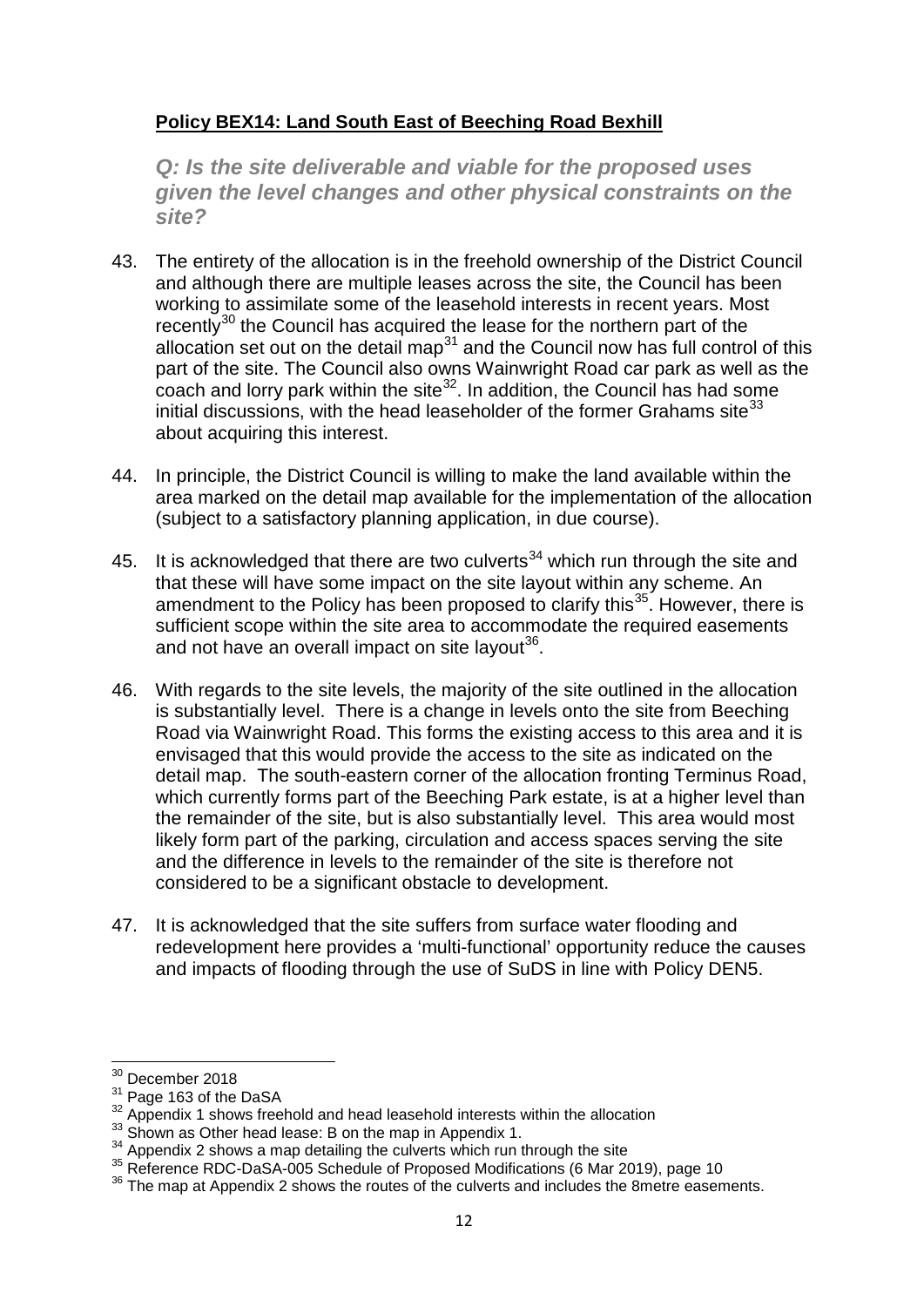## **Policy BEX14: Land South East of Beeching Road Bexhill**

*Q: Is the site deliverable and viable for the proposed uses given the level changes and other physical constraints on the site?*

- 43. The entirety of the allocation is in the freehold ownership of the District Council and although there are multiple leases across the site, the Council has been working to assimilate some of the leasehold interests in recent years. Most recently<sup>[30](#page-11-0)</sup> the Council has acquired the lease for the northern part of the allocation set out on the detail map<sup>[31](#page-11-1)</sup> and the Council now has full control of this part of the site. The Council also owns Wainwright Road car park as well as the coach and lorry park within the site<sup>[32](#page-11-2)</sup>. In addition, the Council has had some initial discussions, with the head leaseholder of the former Grahams site $^{33}$  $^{33}$  $^{33}$ about acquiring this interest.
- 44. In principle, the District Council is willing to make the land available within the area marked on the detail map available for the implementation of the allocation (subject to a satisfactory planning application, in due course).
- 45. It is acknowledged that there are two culverts<sup>[34](#page-11-4)</sup> which run through the site and that these will have some impact on the site layout within any scheme. An amendment to the Policy has been proposed to clarify this<sup>35</sup>. However, there is sufficient scope within the site area to accommodate the required easements and not have an overall impact on site layout<sup>[36](#page-11-6)</sup>.
- 46. With regards to the site levels, the majority of the site outlined in the allocation is substantially level. There is a change in levels onto the site from Beeching Road via Wainwright Road. This forms the existing access to this area and it is envisaged that this would provide the access to the site as indicated on the detail map. The south-eastern corner of the allocation fronting Terminus Road, which currently forms part of the Beeching Park estate, is at a higher level than the remainder of the site, but is also substantially level. This area would most likely form part of the parking, circulation and access spaces serving the site and the difference in levels to the remainder of the site is therefore not considered to be a significant obstacle to development.
- 47. It is acknowledged that the site suffers from surface water flooding and redevelopment here provides a 'multi-functional' opportunity reduce the causes and impacts of flooding through the use of SuDS in line with Policy DEN5.

<span id="page-11-0"></span> $\frac{30}{31}$  December 2018<br> $\frac{31}{31}$  Page 163 of the DaSA

<span id="page-11-2"></span><span id="page-11-1"></span> $\frac{32}{32}$  Appendix 1 shows freehold and head leasehold interests within the allocation  $\frac{33}{33}$  Shown as Other head lease: B on the map in Appendix 1.

<span id="page-11-5"></span><span id="page-11-4"></span><span id="page-11-3"></span><sup>&</sup>lt;sup>34</sup> Appendix 2 shows a map detailing the culverts which run through the site<br><sup>35</sup> Reference RDC-DaSA-005 Schedule of Proposed Modifications (6 Mar 2019), page 10<br><sup>36</sup> The map at Appendix 2 shows the routes of the culvert

<span id="page-11-6"></span>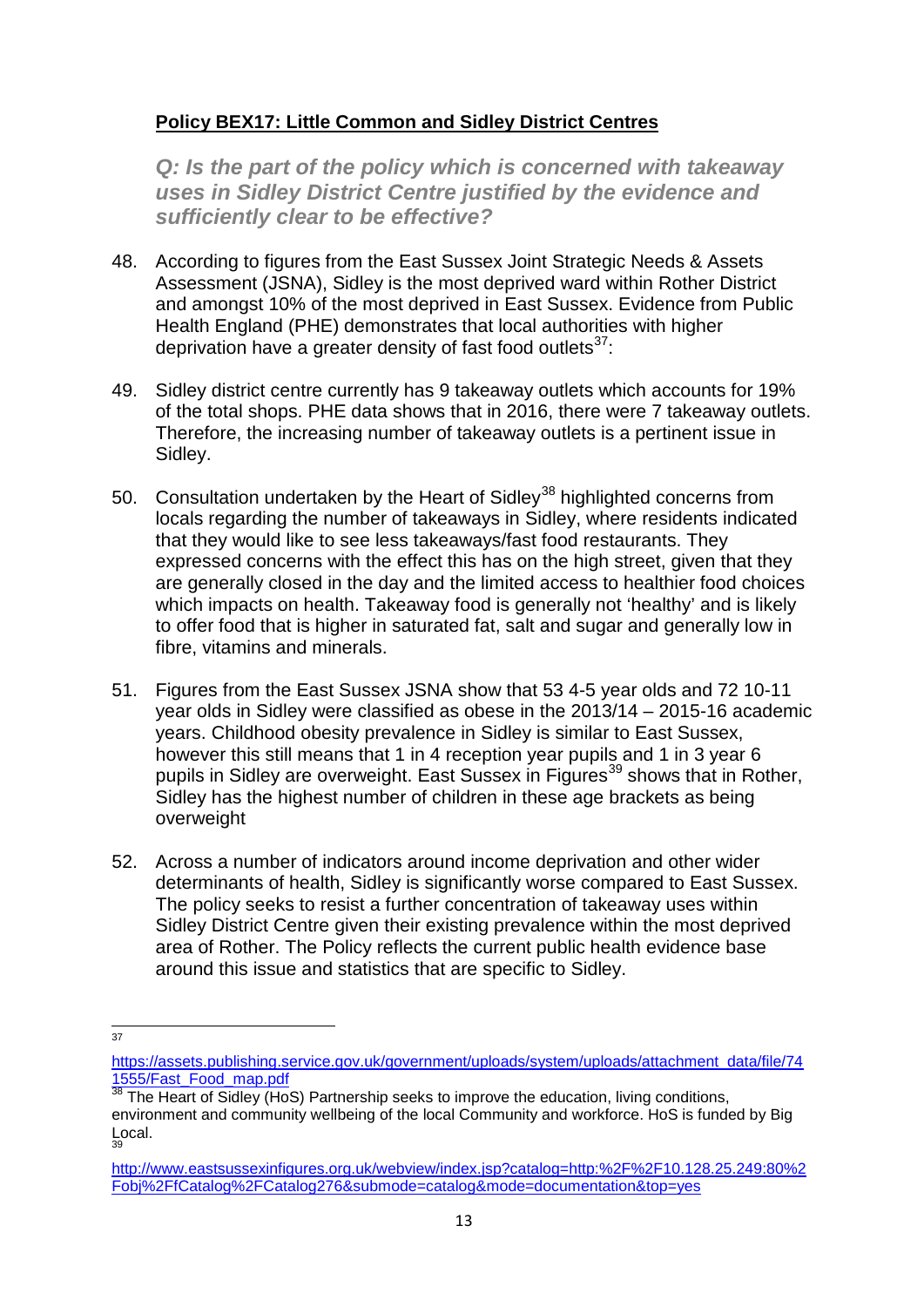## **Policy BEX17: Little Common and Sidley District Centres**

*Q: Is the part of the policy which is concerned with takeaway uses in Sidley District Centre justified by the evidence and sufficiently clear to be effective?*

- 48. According to figures from the East Sussex Joint Strategic Needs & Assets Assessment (JSNA), Sidley is the most deprived ward within Rother District and amongst 10% of the most deprived in East Sussex. Evidence from Public Health England (PHE) demonstrates that local authorities with higher deprivation have a greater density of fast food outlets<sup>37</sup>:
- 49. Sidley district centre currently has 9 takeaway outlets which accounts for 19% of the total shops. PHE data shows that in 2016, there were 7 takeaway outlets. Therefore, the increasing number of takeaway outlets is a pertinent issue in Sidley.
- 50. Consultation undertaken by the Heart of Sidley<sup>[38](#page-12-1)</sup> highlighted concerns from locals regarding the number of takeaways in Sidley, where residents indicated that they would like to see less takeaways/fast food restaurants. They expressed concerns with the effect this has on the high street, given that they are generally closed in the day and the limited access to healthier food choices which impacts on health. Takeaway food is generally not 'healthy' and is likely to offer food that is higher in saturated fat, salt and sugar and generally low in fibre, vitamins and minerals.
- 51. Figures from the East Sussex JSNA show that 53 4-5 year olds and 72 10-11 year olds in Sidley were classified as obese in the 2013/14 – 2015-16 academic years. Childhood obesity prevalence in Sidley is similar to East Sussex, however this still means that 1 in 4 reception year pupils and 1 in 3 year 6 pupils in Sidley are overweight. East Sussex in Figures<sup>[39](#page-12-2)</sup> shows that in Rother, Sidley has the highest number of children in these age brackets as being overweight
- 52. Across a number of indicators around income deprivation and other wider determinants of health, Sidley is significantly worse compared to East Sussex. The policy seeks to resist a further concentration of takeaway uses within Sidley District Centre given their existing prevalence within the most deprived area of Rother. The Policy reflects the current public health evidence base around this issue and statistics that are specific to Sidley.

37

<span id="page-12-0"></span>[https://assets.publishing.service.gov.uk/government/uploads/system/uploads/attachment\\_data/file/74](https://assets.publishing.service.gov.uk/government/uploads/system/uploads/attachment_data/file/741555/Fast_Food_map.pdf) [1555/Fast\\_Food\\_map.pdf](https://assets.publishing.service.gov.uk/government/uploads/system/uploads/attachment_data/file/741555/Fast_Food_map.pdf)

<span id="page-12-1"></span> $38$  The Heart of Sidley (HoS) Partnership seeks to improve the education, living conditions, environment and community wellbeing of the local Community and workforce. HoS is funded by Big Local. 39

<span id="page-12-2"></span>[http://www.eastsussexinfigures.org.uk/webview/index.jsp?catalog=http:%2F%2F10.128.25.249:80%2](http://www.eastsussexinfigures.org.uk/webview/index.jsp?catalog=http:%2F%2F10.128.25.249:80%2Fobj%2FfCatalog%2FCatalog276&submode=catalog&mode=documentation&top=yes%20) [Fobj%2FfCatalog%2FCatalog276&submode=catalog&mode=documentation&top=yes](http://www.eastsussexinfigures.org.uk/webview/index.jsp?catalog=http:%2F%2F10.128.25.249:80%2Fobj%2FfCatalog%2FCatalog276&submode=catalog&mode=documentation&top=yes%20)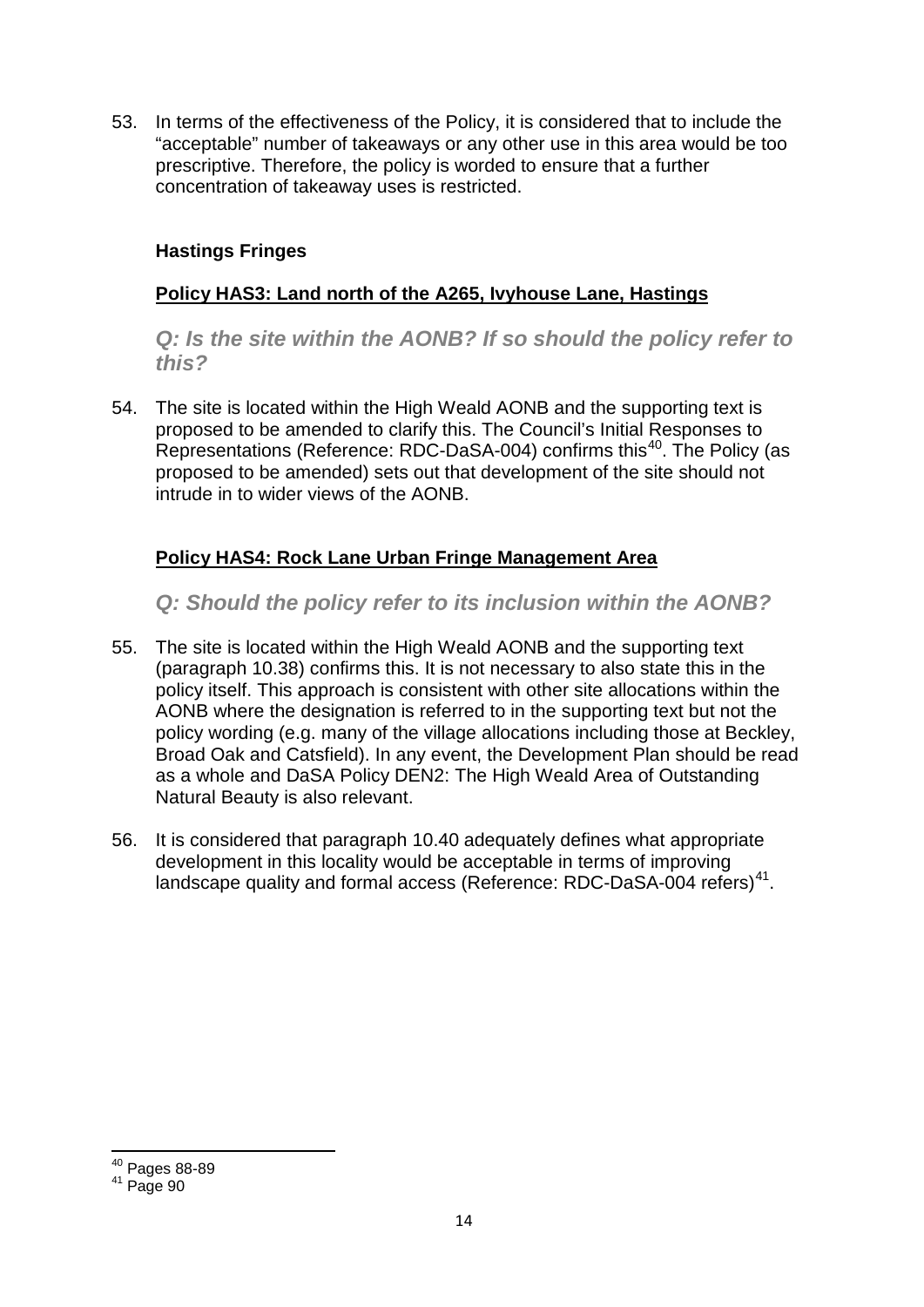53. In terms of the effectiveness of the Policy, it is considered that to include the "acceptable" number of takeaways or any other use in this area would be too prescriptive. Therefore, the policy is worded to ensure that a further concentration of takeaway uses is restricted.

## **Hastings Fringes**

## **Policy HAS3: Land north of the A265, Ivyhouse Lane, Hastings**

*Q: Is the site within the AONB? If so should the policy refer to this?* 

54. The site is located within the High Weald AONB and the supporting text is proposed to be amended to clarify this. The Council's Initial Responses to Representations (Reference: RDC-DaSA-004) confirms this<sup>40</sup>. The Policy (as proposed to be amended) sets out that development of the site should not intrude in to wider views of the AONB.

## **Policy HAS4: Rock Lane Urban Fringe Management Area**

*Q: Should the policy refer to its inclusion within the AONB?* 

- 55. The site is located within the High Weald AONB and the supporting text (paragraph 10.38) confirms this. It is not necessary to also state this in the policy itself. This approach is consistent with other site allocations within the AONB where the designation is referred to in the supporting text but not the policy wording (e.g. many of the village allocations including those at Beckley, Broad Oak and Catsfield). In any event, the Development Plan should be read as a whole and DaSA Policy DEN2: The High Weald Area of Outstanding Natural Beauty is also relevant.
- 56. It is considered that paragraph 10.40 adequately defines what appropriate development in this locality would be acceptable in terms of improving landscape quality and formal access (Reference: RDC-DaSA-004 refers)<sup>41</sup>.

<sup>40</sup> Pages 88-89

<span id="page-13-1"></span><span id="page-13-0"></span> $41$  Page 90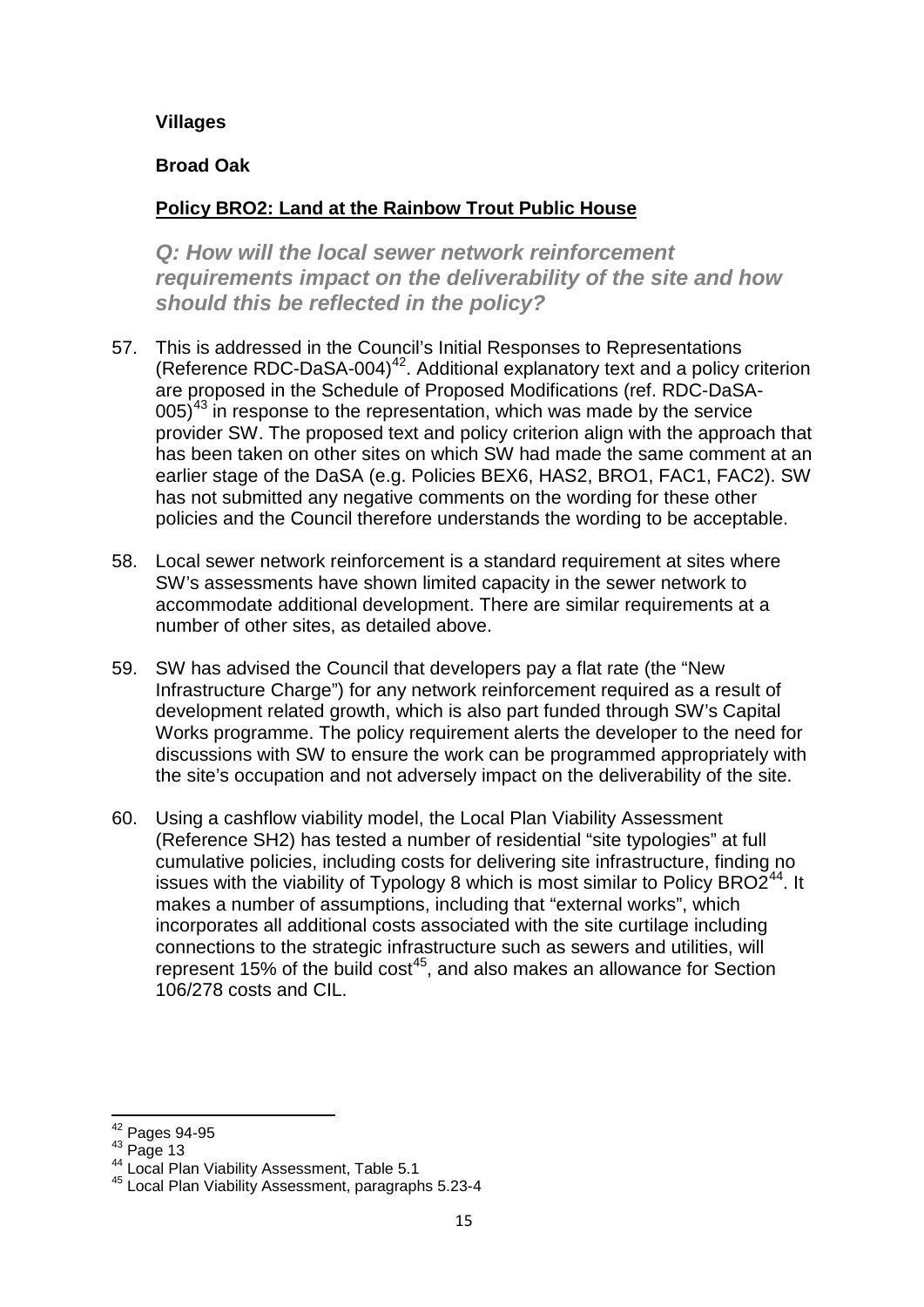#### **Villages**

#### **Broad Oak**

## **Policy BRO2: Land at the Rainbow Trout Public House**

*Q: How will the local sewer network reinforcement requirements impact on the deliverability of the site and how should this be reflected in the policy?*

- 57. This is addressed in the Council's Initial Responses to Representations (Reference RDC-DaSA-004)<sup>42</sup>. Additional explanatory text and a policy criterion are proposed in the Schedule of Proposed Modifications (ref. RDC-DaSA- $005$ <sup>[43](#page-14-1)</sup> in response to the representation, which was made by the service provider SW. The proposed text and policy criterion align with the approach that has been taken on other sites on which SW had made the same comment at an earlier stage of the DaSA (e.g. Policies BEX6, HAS2, BRO1, FAC1, FAC2). SW has not submitted any negative comments on the wording for these other policies and the Council therefore understands the wording to be acceptable.
- 58. Local sewer network reinforcement is a standard requirement at sites where SW's assessments have shown limited capacity in the sewer network to accommodate additional development. There are similar requirements at a number of other sites, as detailed above.
- 59. SW has advised the Council that developers pay a flat rate (the "New Infrastructure Charge") for any network reinforcement required as a result of development related growth, which is also part funded through SW's Capital Works programme. The policy requirement alerts the developer to the need for discussions with SW to ensure the work can be programmed appropriately with the site's occupation and not adversely impact on the deliverability of the site.
- 60. Using a cashflow viability model, the Local Plan Viability Assessment (Reference SH2) has tested a number of residential "site typologies" at full cumulative policies, including costs for delivering site infrastructure, finding no issues with the viability of Typology 8 which is most similar to Policy BRO2 $^{44}$ . It makes a number of assumptions, including that "external works", which incorporates all additional costs associated with the site curtilage including connections to the strategic infrastructure such as sewers and utilities, will represent 15% of the build  $\cos^{45}$  $\cos^{45}$  $\cos^{45}$ , and also makes an allowance for Section 106/278 costs and CIL.

<span id="page-14-0"></span> $^{42}$  Pages 94-95<br> $^{43}$  Page 13

<span id="page-14-3"></span><span id="page-14-2"></span><span id="page-14-1"></span><sup>44</sup> Local Plan Viability Assessment, Table 5.1<br><sup>45</sup> Local Plan Viability Assessment, paragraphs 5.23-4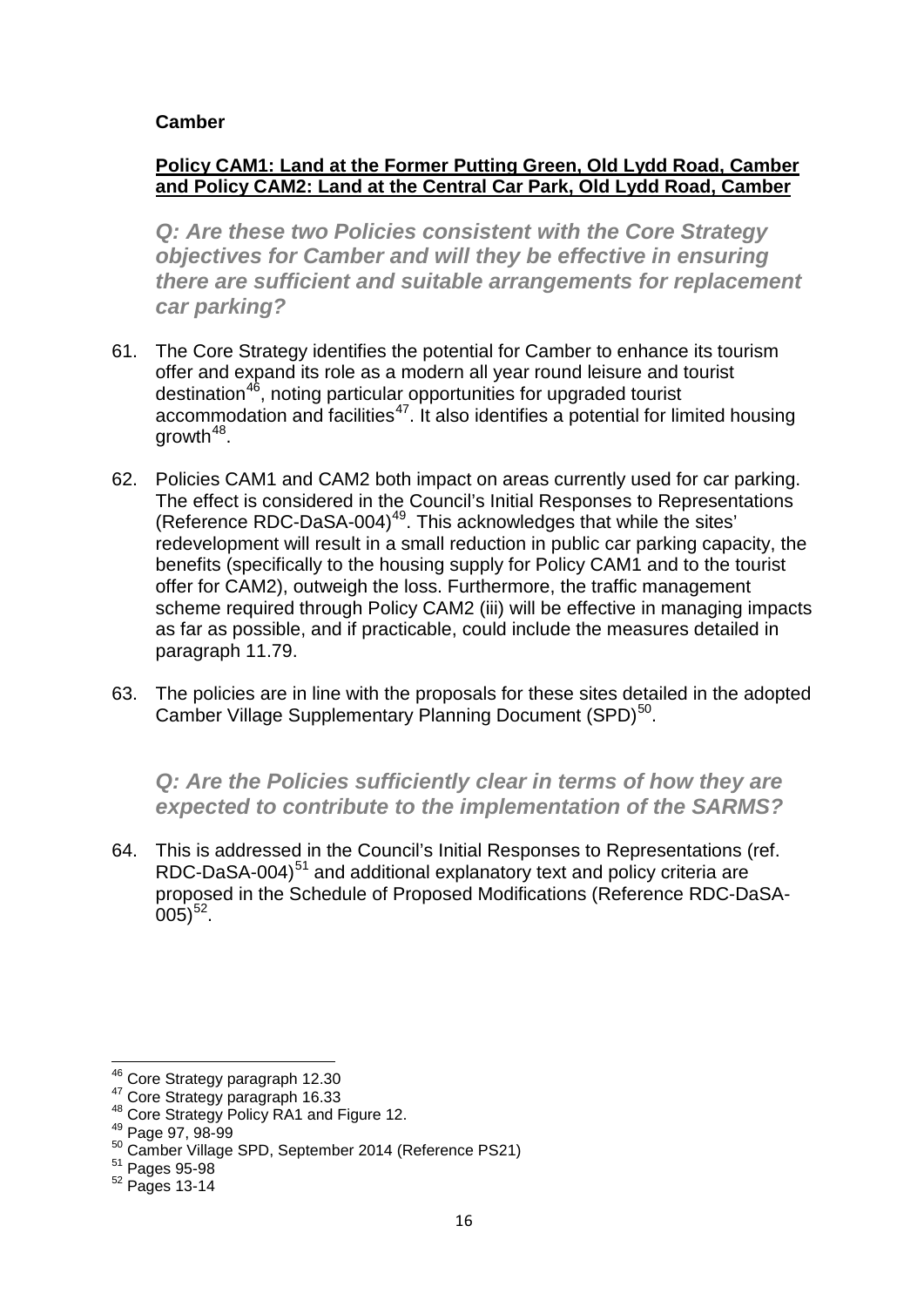#### **Camber**

#### **Policy CAM1: Land at the Former Putting Green, Old Lydd Road, Camber and Policy CAM2: Land at the Central Car Park, Old Lydd Road, Camber**

*Q: Are these two Policies consistent with the Core Strategy objectives for Camber and will they be effective in ensuring there are sufficient and suitable arrangements for replacement car parking?*

- 61. The Core Strategy identifies the potential for Camber to enhance its tourism offer and expand its role as a modern all year round leisure and tourist destination<sup>46</sup>, noting particular opportunities for upgraded tourist accommodation and facilities<sup>47</sup>. It also identifies a potential for limited housing growth  $48$ .
- 62. Policies CAM1 and CAM2 both impact on areas currently used for car parking. The effect is considered in the Council's Initial Responses to Representations (Reference RDC-DaSA-004)<sup>49</sup>. This acknowledges that while the sites' redevelopment will result in a small reduction in public car parking capacity, the benefits (specifically to the housing supply for Policy CAM1 and to the tourist offer for CAM2), outweigh the loss. Furthermore, the traffic management scheme required through Policy CAM2 (iii) will be effective in managing impacts as far as possible, and if practicable, could include the measures detailed in paragraph 11.79.
- 63. The policies are in line with the proposals for these sites detailed in the adopted Camber Village Supplementary Planning Document (SPD)<sup>50</sup>.

*Q: Are the Policies sufficiently clear in terms of how they are expected to contribute to the implementation of the SARMS?*

64. This is addressed in the Council's Initial Responses to Representations (ref. RDC-DaSA-004) $51$  and additional explanatory text and policy criteria are proposed in the Schedule of Proposed Modifications (Reference RDC-DaSA- $(005)^{52}$ .

<span id="page-15-1"></span><span id="page-15-0"></span><sup>&</sup>lt;sup>46</sup> Core Strategy paragraph 12.30<br><sup>47</sup> Core Strategy paragraph 16.33<br><sup>48</sup> Core Strategy Policy RA1 and Figure 12.<br><sup>49</sup> Page 97, 98-99

<span id="page-15-2"></span>

<span id="page-15-4"></span><span id="page-15-3"></span> $50^{50}$  Camber Village SPD, September 2014 (Reference PS21)<br> $51$  Pages 95-98

<span id="page-15-6"></span><span id="page-15-5"></span><sup>52</sup> Pages 13-14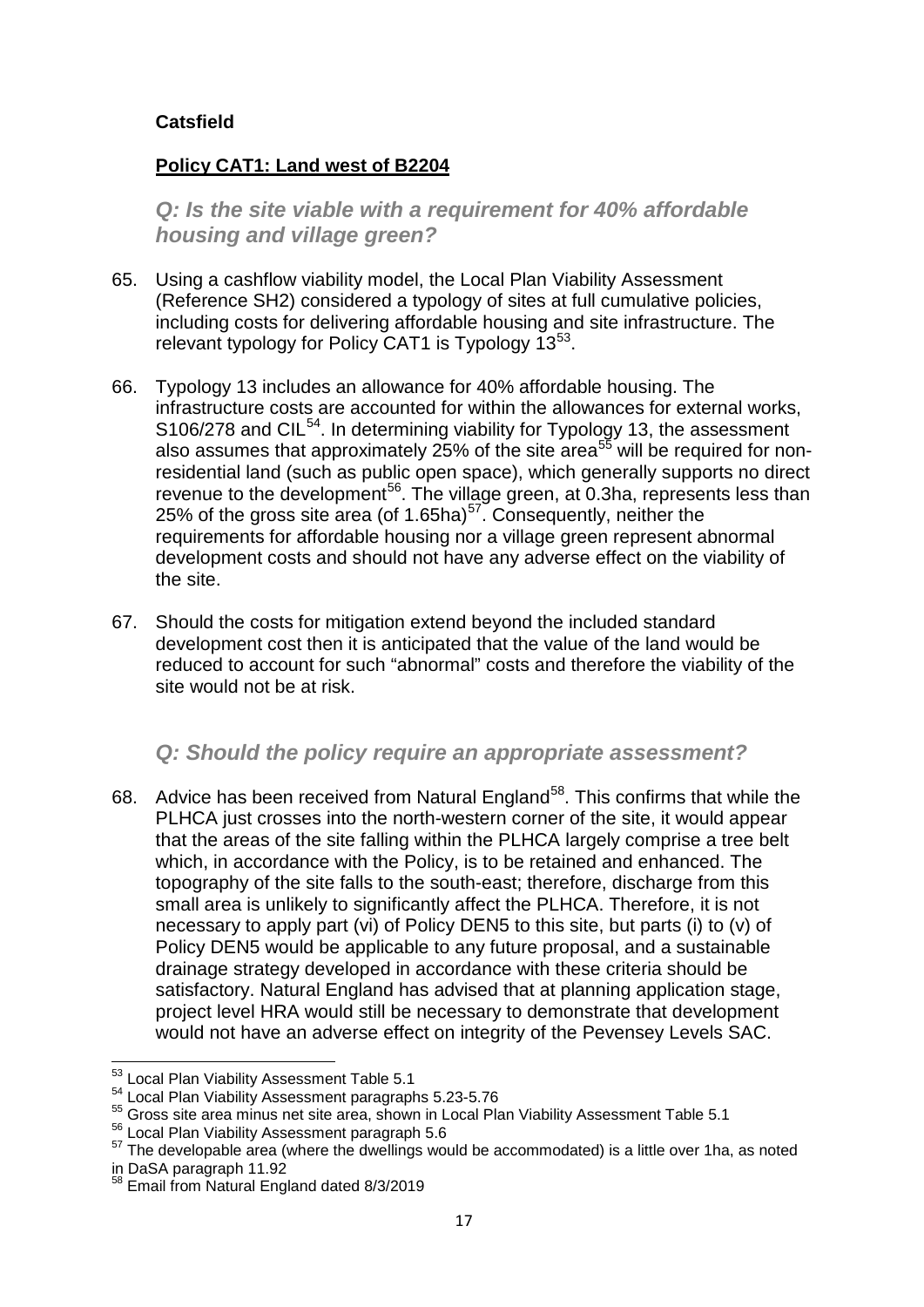#### **Catsfield**

#### **Policy CAT1: Land west of B2204**

*Q: Is the site viable with a requirement for 40% affordable housing and village green?*

- 65. Using a cashflow viability model, the Local Plan Viability Assessment (Reference SH2) considered a typology of sites at full cumulative policies, including costs for delivering affordable housing and site infrastructure. The relevant typology for Policy CAT1 is Typology  $13^{53}$ .
- 66. Typology 13 includes an allowance for 40% affordable housing. The infrastructure costs are accounted for within the allowances for external works, S106/278 and CIL<sup>54</sup>. In determining viability for Typology 13, the assessment also assumes that approximately 25% of the site area<sup>[55](#page-16-2)</sup> will be required for nonresidential land (such as public open space), which generally supports no direct revenue to the development<sup>56</sup>. The village green, at 0.3ha, represents less than 25% of the gross site area (of 1.65ha) $57$ . Consequently, neither the requirements for affordable housing nor a village green represent abnormal development costs and should not have any adverse effect on the viability of the site.
- 67. Should the costs for mitigation extend beyond the included standard development cost then it is anticipated that the value of the land would be reduced to account for such "abnormal" costs and therefore the viability of the site would not be at risk.

## *Q: Should the policy require an appropriate assessment?*

68. Advice has been received from Natural England<sup>58</sup>. This confirms that while the PLHCA just crosses into the north-western corner of the site, it would appear that the areas of the site falling within the PLHCA largely comprise a tree belt which, in accordance with the Policy, is to be retained and enhanced. The topography of the site falls to the south-east; therefore, discharge from this small area is unlikely to significantly affect the PLHCA. Therefore, it is not necessary to apply part (vi) of Policy DEN5 to this site, but parts (i) to (v) of Policy DEN5 would be applicable to any future proposal, and a sustainable drainage strategy developed in accordance with these criteria should be satisfactory. Natural England has advised that at planning application stage, project level HRA would still be necessary to demonstrate that development would not have an adverse effect on integrity of the Pevensey Levels SAC.

<span id="page-16-1"></span>

<span id="page-16-0"></span><sup>&</sup>lt;sup>53</sup> Local Plan Viability Assessment Table 5.1<br><sup>54</sup> Local Plan Viability Assessment paragraphs 5.23-5.76<br><sup>55</sup> Gross site area minus net site area, shown in Local Plan Viability Assessment Table 5.1

<span id="page-16-4"></span><span id="page-16-3"></span><span id="page-16-2"></span><sup>&</sup>lt;sup>56</sup> Local Plan Viability Assessment paragraph 5.6<br>
<sup>57</sup> The developable area (where the dwellings would be accommodated) is a little over 1 ha, as noted<br>
in DaSA paragraph 11.92<br>
<sup>58</sup> Emoil from Netwol Fastes is the cont

<span id="page-16-5"></span> $8$  Email from Natural England dated 8/3/2019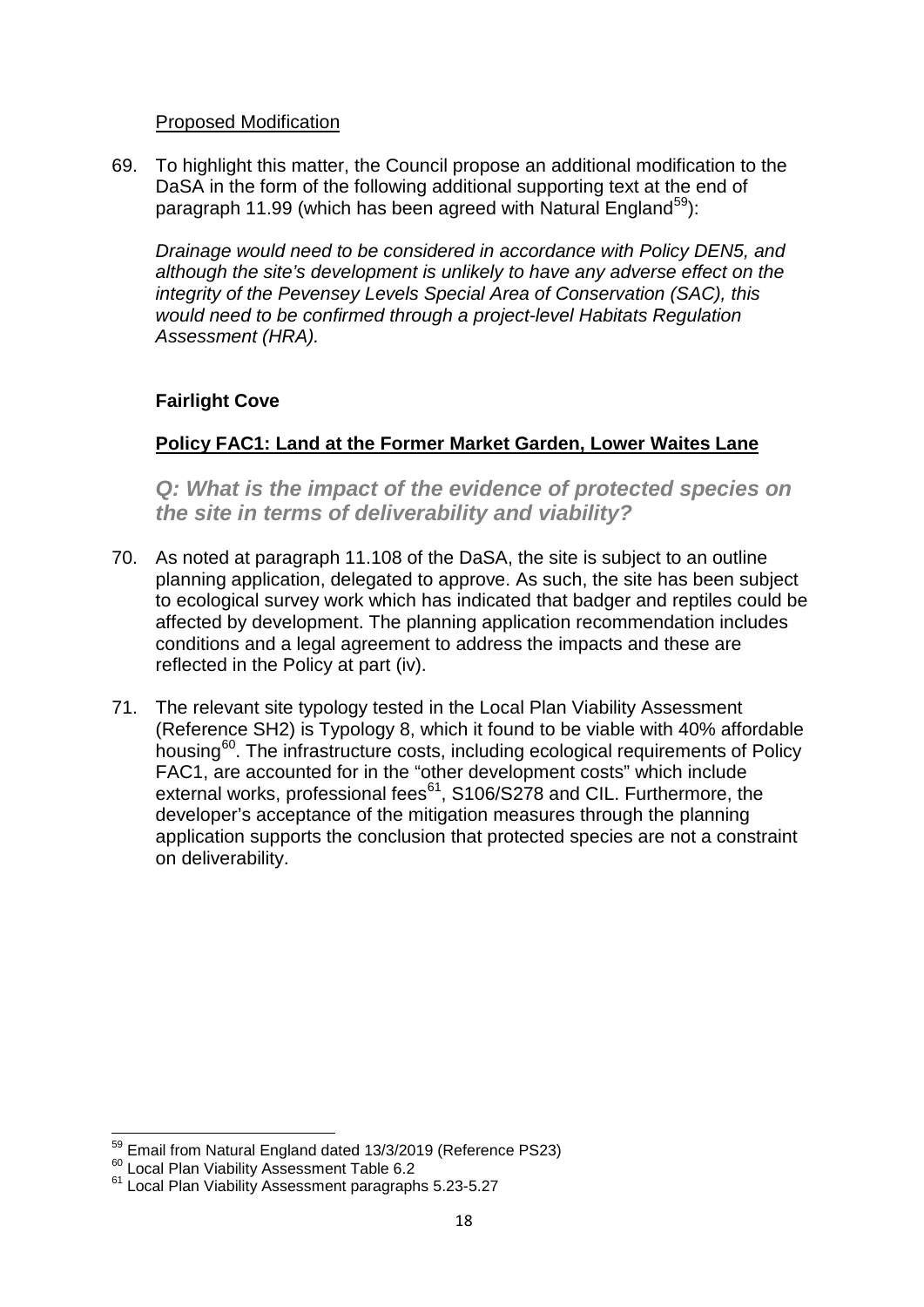#### Proposed Modification

69. To highlight this matter, the Council propose an additional modification to the DaSA in the form of the following additional supporting text at the end of paragraph 11.99 (which has been agreed with Natural England<sup>[59](#page-17-0)</sup>):

*Drainage would need to be considered in accordance with Policy DEN5, and although the site's development is unlikely to have any adverse effect on the integrity of the Pevensey Levels Special Area of Conservation (SAC), this would need to be confirmed through a project-level Habitats Regulation Assessment (HRA).*

#### **Fairlight Cove**

## **Policy FAC1: Land at the Former Market Garden, Lower Waites Lane**

*Q: What is the impact of the evidence of protected species on the site in terms of deliverability and viability?*

- 70. As noted at paragraph 11.108 of the DaSA, the site is subject to an outline planning application, delegated to approve. As such, the site has been subject to ecological survey work which has indicated that badger and reptiles could be affected by development. The planning application recommendation includes conditions and a legal agreement to address the impacts and these are reflected in the Policy at part (iv).
- 71. The relevant site typology tested in the Local Plan Viability Assessment (Reference SH2) is Typology 8, which it found to be viable with 40% affordable housing[60.](#page-17-1) The infrastructure costs, including ecological requirements of Policy FAC1, are accounted for in the "other development costs" which include external works, professional fees<sup>[61](#page-17-2)</sup>, S106/S278 and CIL. Furthermore, the developer's acceptance of the mitigation measures through the planning application supports the conclusion that protected species are not a constraint on deliverability.

<span id="page-17-1"></span><span id="page-17-0"></span><sup>&</sup>lt;sup>59</sup> Email from Natural England dated 13/3/2019 (Reference PS23)<br><sup>60</sup> Local Plan Viability Assessment Table 6.2<br><sup>61</sup> Local Plan Viability Assessment paragraphs 5.23-5.27

<span id="page-17-2"></span>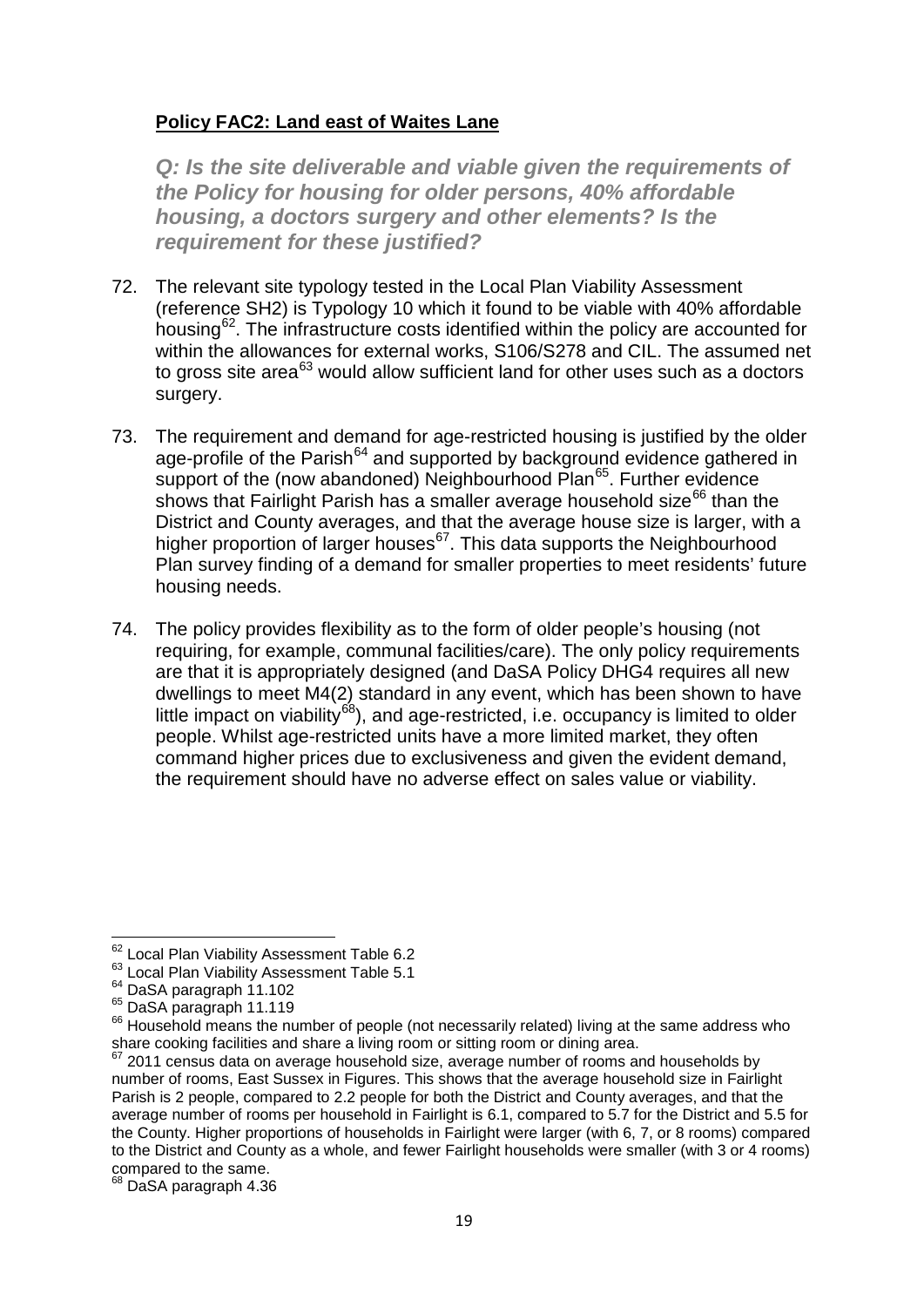#### **Policy FAC2: Land east of Waites Lane**

*Q: Is the site deliverable and viable given the requirements of the Policy for housing for older persons, 40% affordable housing, a doctors surgery and other elements? Is the requirement for these justified?*

- 72. The relevant site typology tested in the Local Plan Viability Assessment (reference SH2) is Typology 10 which it found to be viable with 40% affordable housing[62.](#page-18-0) The infrastructure costs identified within the policy are accounted for within the allowances for external works, S106/S278 and CIL. The assumed net to gross site area<sup>[63](#page-18-1)</sup> would allow sufficient land for other uses such as a doctors surgery.
- 73. The requirement and demand for age-restricted housing is justified by the older age-profile of the Parish<sup>[64](#page-18-2)</sup> and supported by background evidence gathered in support of the (now abandoned) Neighbourhood Plan<sup>65</sup>. Further evidence shows that Fairlight Parish has a smaller average household size $^{66}$  $^{66}$  $^{66}$  than the District and County averages, and that the average house size is larger, with a higher proportion of larger houses<sup>67</sup>. This data supports the Neighbourhood Plan survey finding of a demand for smaller properties to meet residents' future housing needs.
- 74. The policy provides flexibility as to the form of older people's housing (not requiring, for example, communal facilities/care). The only policy requirements are that it is appropriately designed (and DaSA Policy DHG4 requires all new dwellings to meet M4(2) standard in any event, which has been shown to have little impact on viability<sup>[68](#page-18-6)</sup>), and age-restricted, i.e. occupancy is limited to older people. Whilst age-restricted units have a more limited market, they often command higher prices due to exclusiveness and given the evident demand, the requirement should have no adverse effect on sales value or viability.

<span id="page-18-6"></span><sup>68</sup> DaSA paragraph 4.36

<span id="page-18-2"></span>

<span id="page-18-4"></span><span id="page-18-3"></span>

<span id="page-18-1"></span><span id="page-18-0"></span><sup>&</sup>lt;sup>62</sup> Local Plan Viability Assessment Table 6.2<br><sup>63</sup> Local Plan Viability Assessment Table 5.1<br><sup>64</sup> DaSA paragraph 11.102<br><sup>65</sup> DaSA paragraph 11.119<br><sup>66</sup> Household means the number of people (not necessarily related) livin share cooking facilities and share a living room or sitting room or dining area.

<span id="page-18-5"></span> $67$  2011 census data on average household size, average number of rooms and households by number of rooms, East Sussex in Figures. This shows that the average household size in Fairlight Parish is 2 people, compared to 2.2 people for both the District and County averages, and that the average number of rooms per household in Fairlight is 6.1, compared to 5.7 for the District and 5.5 for the County. Higher proportions of households in Fairlight were larger (with 6, 7, or 8 rooms) compared to the District and County as a whole, and fewer Fairlight households were smaller (with 3 or 4 rooms) compared to the same.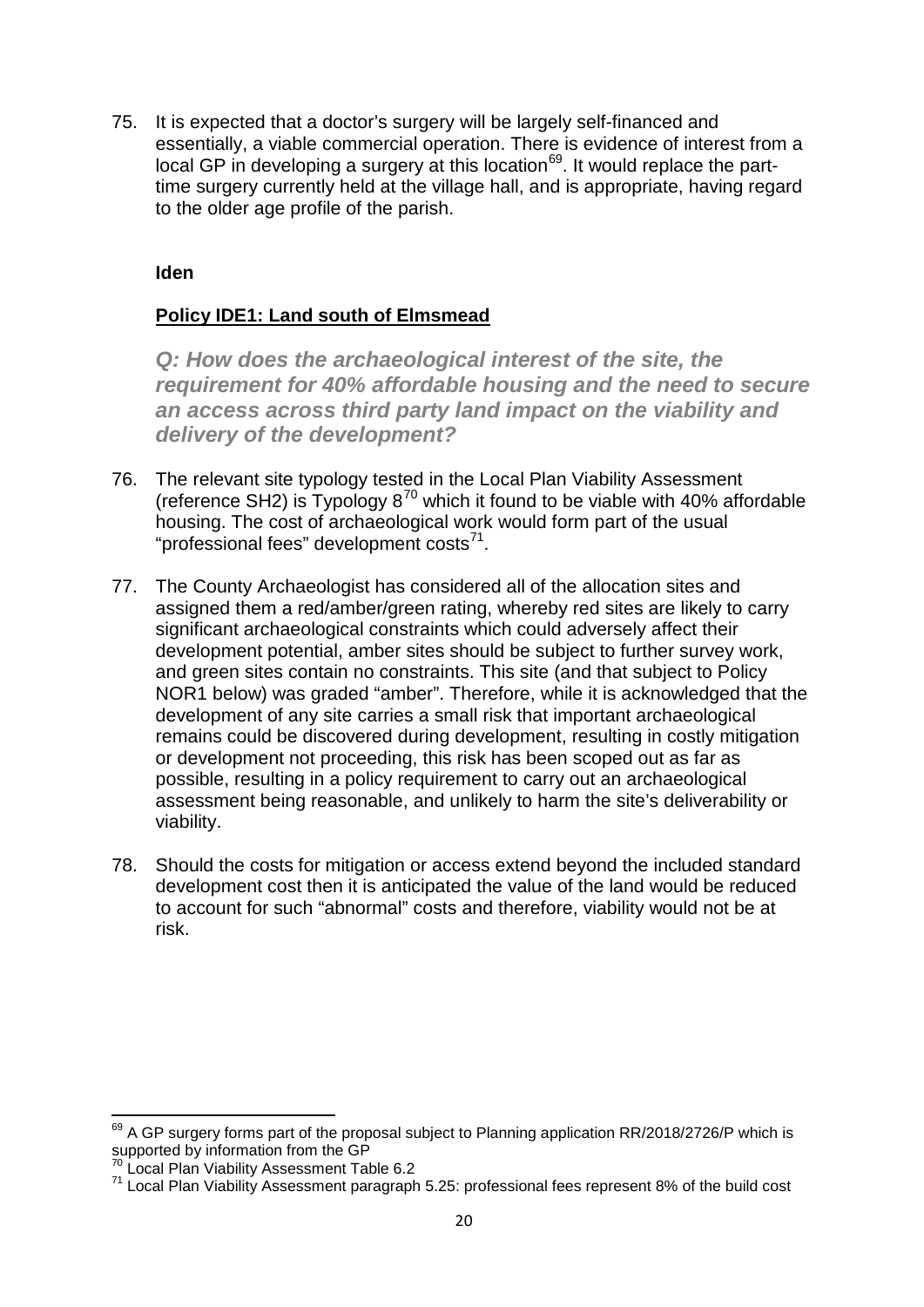75. It is expected that a doctor's surgery will be largely self-financed and essentially, a viable commercial operation. There is evidence of interest from a local GP in developing a surgery at this location<sup>69</sup>. It would replace the parttime surgery currently held at the village hall, and is appropriate, having regard to the older age profile of the parish.

#### **Iden**

#### **Policy IDE1: Land south of Elmsmead**

*Q: How does the archaeological interest of the site, the requirement for 40% affordable housing and the need to secure an access across third party land impact on the viability and delivery of the development?*

- 76. The relevant site typology tested in the Local Plan Viability Assessment (reference SH2) is Typology  $8^{70}$  $8^{70}$  $8^{70}$  which it found to be viable with 40% affordable housing. The cost of archaeological work would form part of the usual "professional fees" development costs $^{71}$ .
- 77. The County Archaeologist has considered all of the allocation sites and assigned them a red/amber/green rating, whereby red sites are likely to carry significant archaeological constraints which could adversely affect their development potential, amber sites should be subject to further survey work, and green sites contain no constraints. This site (and that subject to Policy NOR1 below) was graded "amber". Therefore, while it is acknowledged that the development of any site carries a small risk that important archaeological remains could be discovered during development, resulting in costly mitigation or development not proceeding, this risk has been scoped out as far as possible, resulting in a policy requirement to carry out an archaeological assessment being reasonable, and unlikely to harm the site's deliverability or viability.
- 78. Should the costs for mitigation or access extend beyond the included standard development cost then it is anticipated the value of the land would be reduced to account for such "abnormal" costs and therefore, viability would not be at risk.

<span id="page-19-0"></span><sup>&</sup>lt;sup>69</sup> A GP surgery forms part of the proposal subject to Planning application RR/2018/2726/P which is supported by information from the GP<br><sup>70</sup> Local Plan Viability Assessment Table 6.2

<span id="page-19-2"></span><span id="page-19-1"></span><sup>71</sup> Local Plan Viability Assessment paragraph 5.25: professional fees represent 8% of the build cost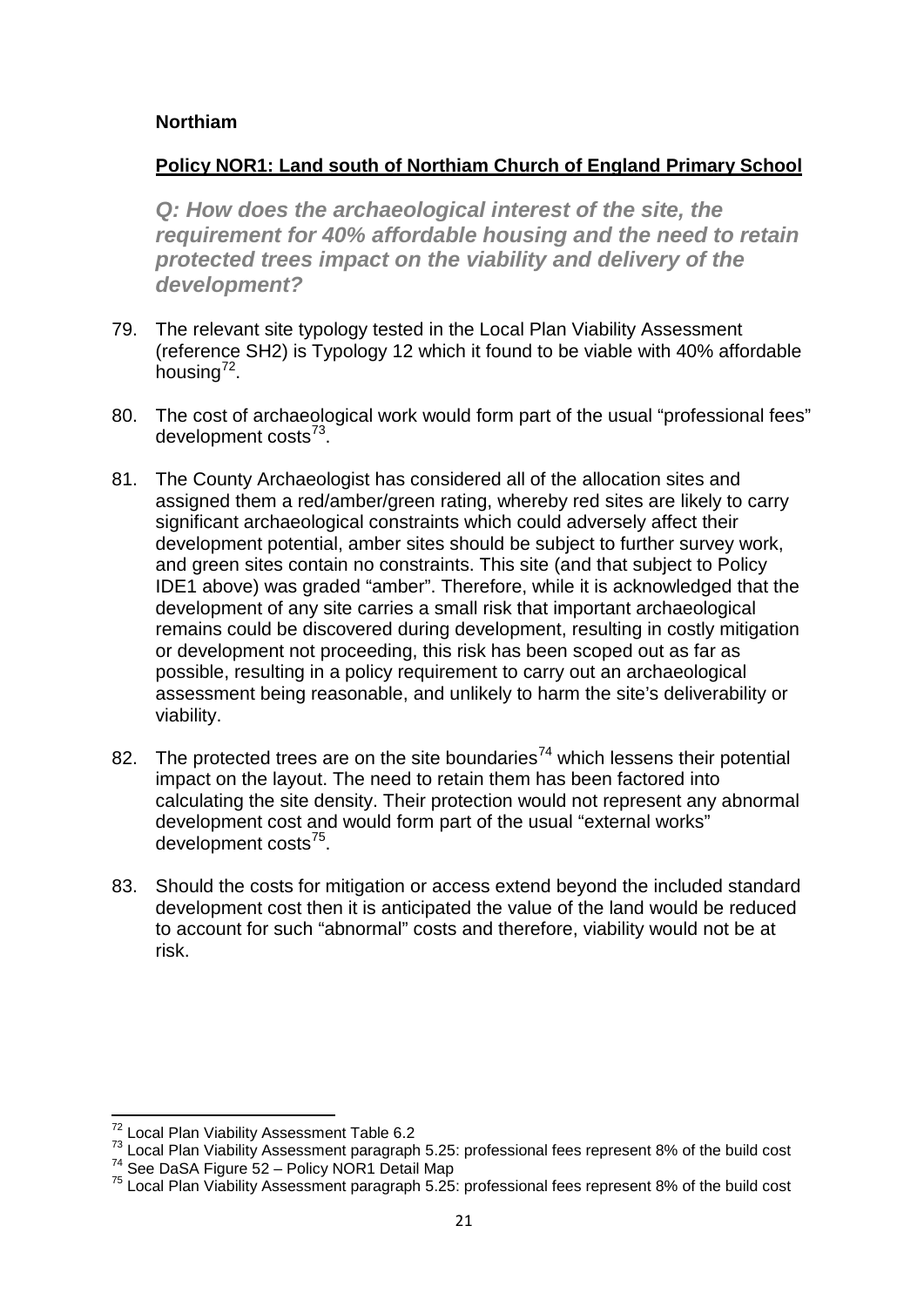#### **Northiam**

#### **Policy NOR1: Land south of Northiam Church of England Primary School**

*Q: How does the archaeological interest of the site, the requirement for 40% affordable housing and the need to retain protected trees impact on the viability and delivery of the development?*

- 79. The relevant site typology tested in the Local Plan Viability Assessment (reference SH2) is Typology 12 which it found to be viable with 40% affordable housing $7^2$ .
- 80. The cost of archaeological work would form part of the usual "professional fees" development  $costs^{73}$ .
- 81. The County Archaeologist has considered all of the allocation sites and assigned them a red/amber/green rating, whereby red sites are likely to carry significant archaeological constraints which could adversely affect their development potential, amber sites should be subject to further survey work, and green sites contain no constraints. This site (and that subject to Policy IDE1 above) was graded "amber". Therefore, while it is acknowledged that the development of any site carries a small risk that important archaeological remains could be discovered during development, resulting in costly mitigation or development not proceeding, this risk has been scoped out as far as possible, resulting in a policy requirement to carry out an archaeological assessment being reasonable, and unlikely to harm the site's deliverability or viability.
- 82. The protected trees are on the site boundaries<sup>[74](#page-20-2)</sup> which lessens their potential impact on the layout. The need to retain them has been factored into calculating the site density. Their protection would not represent any abnormal development cost and would form part of the usual "external works" development costs[75.](#page-20-3)
- 83. Should the costs for mitigation or access extend beyond the included standard development cost then it is anticipated the value of the land would be reduced to account for such "abnormal" costs and therefore, viability would not be at risk.

<span id="page-20-1"></span><span id="page-20-0"></span><sup>&</sup>lt;sup>72</sup> Local Plan Viability Assessment Table 6.2<br><sup>73</sup> Local Plan Viability Assessment paragraph 5.25: professional fees represent 8% of the build cost<br><sup>74</sup> See DaSA Figure 52 – Policy NOR1 Detail Map<br><sup>75</sup> Local Plan Viabili

<span id="page-20-2"></span>

<span id="page-20-3"></span>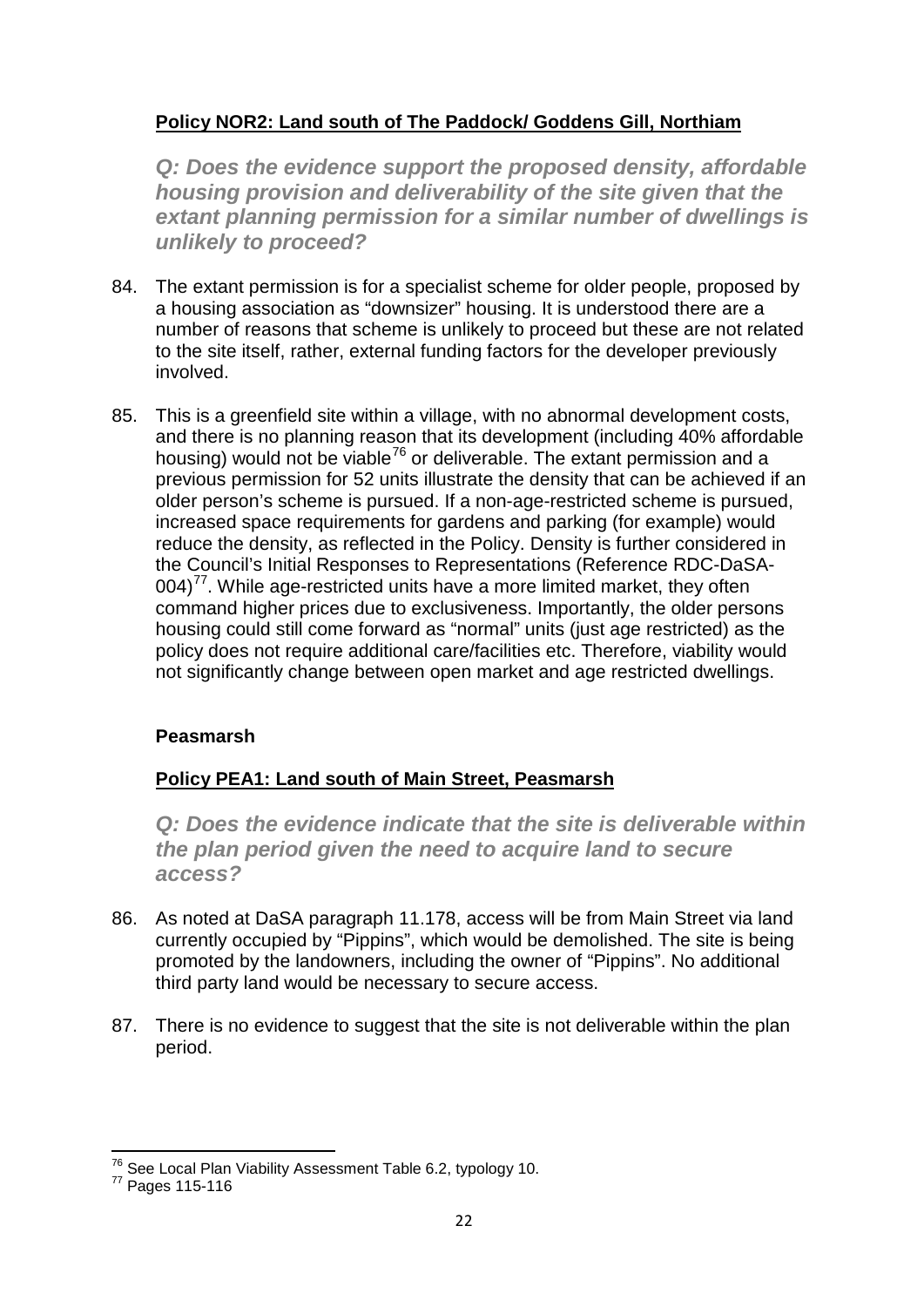## **Policy NOR2: Land south of The Paddock/ Goddens Gill, Northiam**

*Q: Does the evidence support the proposed density, affordable housing provision and deliverability of the site given that the extant planning permission for a similar number of dwellings is unlikely to proceed?*

- 84. The extant permission is for a specialist scheme for older people, proposed by a housing association as "downsizer" housing. It is understood there are a number of reasons that scheme is unlikely to proceed but these are not related to the site itself, rather, external funding factors for the developer previously involved.
- 85. This is a greenfield site within a village, with no abnormal development costs, and there is no planning reason that its development (including 40% affordable housing) would not be viable<sup>[76](#page-21-0)</sup> or deliverable. The extant permission and a previous permission for 52 units illustrate the density that can be achieved if an older person's scheme is pursued. If a non-age-restricted scheme is pursued, increased space requirements for gardens and parking (for example) would reduce the density, as reflected in the Policy. Density is further considered in the Council's Initial Responses to Representations (Reference RDC-DaSA- $004$ <sup> $77$ </sup>. While age-restricted units have a more limited market, they often command higher prices due to exclusiveness. Importantly, the older persons housing could still come forward as "normal" units (just age restricted) as the policy does not require additional care/facilities etc. Therefore, viability would not significantly change between open market and age restricted dwellings.

## **Peasmarsh**

## **Policy PEA1: Land south of Main Street, Peasmarsh**

*Q: Does the evidence indicate that the site is deliverable within the plan period given the need to acquire land to secure access?*

- 86. As noted at DaSA paragraph 11.178, access will be from Main Street via land currently occupied by "Pippins", which would be demolished. The site is being promoted by the landowners, including the owner of "Pippins". No additional third party land would be necessary to secure access.
- 87. There is no evidence to suggest that the site is not deliverable within the plan period.

<span id="page-21-1"></span><span id="page-21-0"></span> $^{76}$  See Local Plan Viability Assessment Table 6.2, typology 10.<br> $^{77}$  Pages 115-116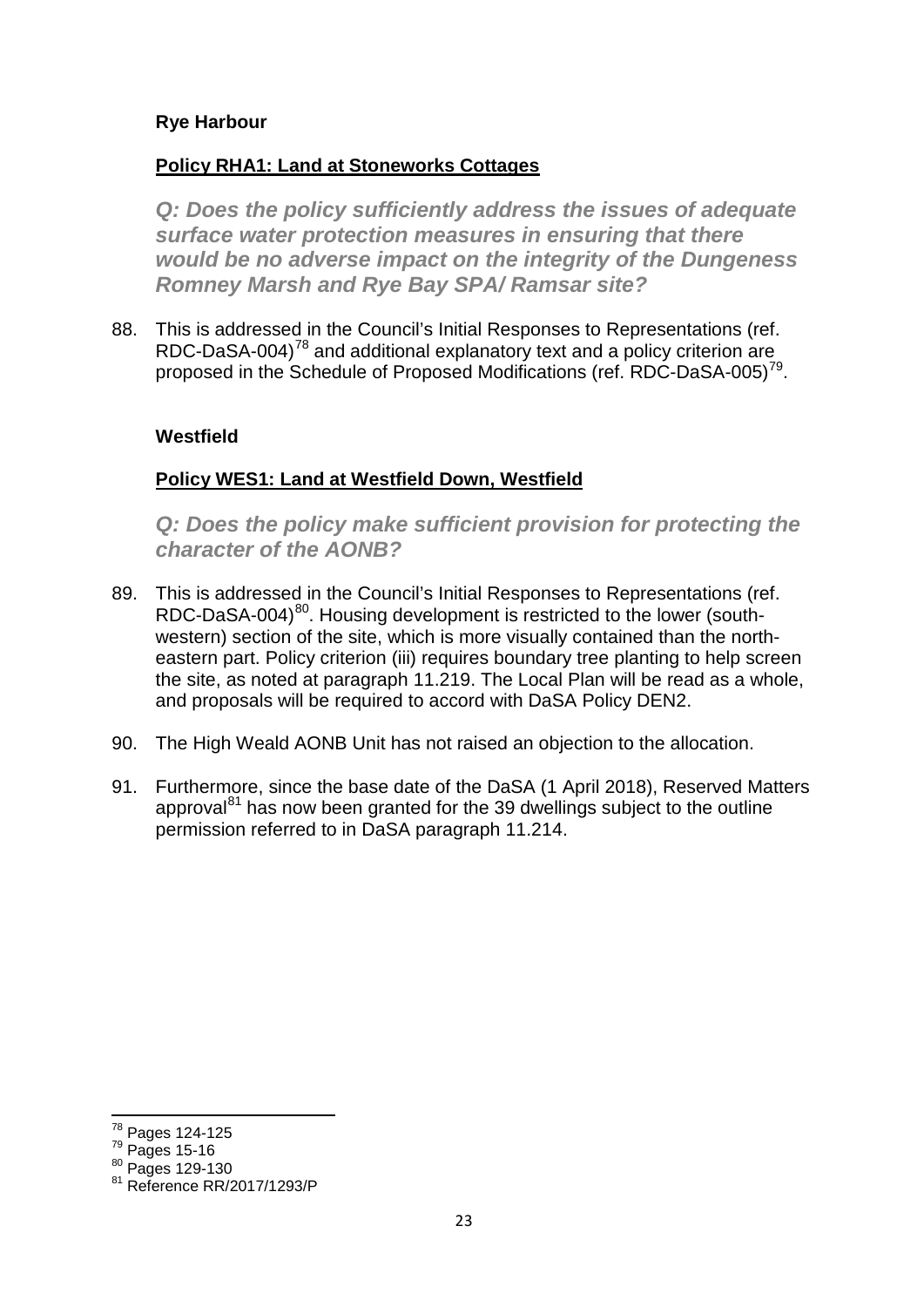#### **Rye Harbour**

#### **Policy RHA1: Land at Stoneworks Cottages**

*Q: Does the policy sufficiently address the issues of adequate surface water protection measures in ensuring that there would be no adverse impact on the integrity of the Dungeness Romney Marsh and Rye Bay SPA/ Ramsar site?*

88. This is addressed in the Council's Initial Responses to Representations (ref. RDC-DaSA-004)<sup>[78](#page-22-0)</sup> and additional explanatory text and a policy criterion are proposed in the Schedule of Proposed Modifications (ref. RDC-DaSA-005)<sup>79</sup>.

#### **Westfield**

#### **Policy WES1: Land at Westfield Down, Westfield**

*Q: Does the policy make sufficient provision for protecting the character of the AONB?*

- 89. This is addressed in the Council's Initial Responses to Representations (ref. RDC-DaSA-004)<sup>[80](#page-22-2)</sup>. Housing development is restricted to the lower (southwestern) section of the site, which is more visually contained than the northeastern part. Policy criterion (iii) requires boundary tree planting to help screen the site, as noted at paragraph 11.219. The Local Plan will be read as a whole, and proposals will be required to accord with DaSA Policy DEN2.
- 90. The High Weald AONB Unit has not raised an objection to the allocation.
- 91. Furthermore, since the base date of the DaSA (1 April 2018), Reserved Matters approval $^{81}$  $^{81}$  $^{81}$  has now been granted for the 39 dwellings subject to the outline permission referred to in DaSA paragraph 11.214.

<span id="page-22-0"></span><sup>78</sup> Pages 124-125

<span id="page-22-1"></span><sup>79</sup> Pages 15-16

<span id="page-22-2"></span> $\frac{80}{10}$  Pages 129-130

<span id="page-22-3"></span><sup>&</sup>lt;sup>81</sup> Reference RR/2017/1293/P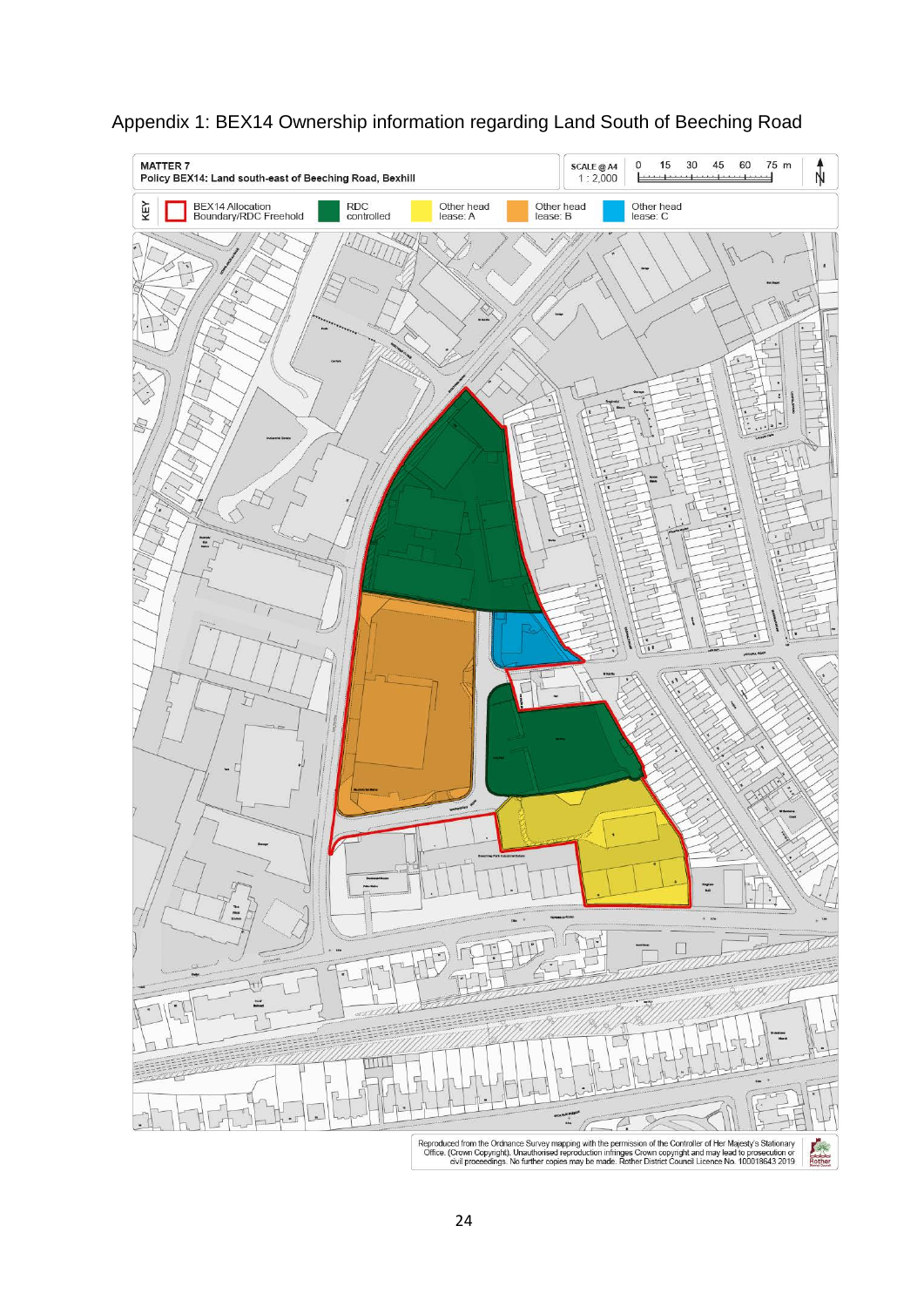

## Appendix 1: BEX14 Ownership information regarding Land South of Beeching Road